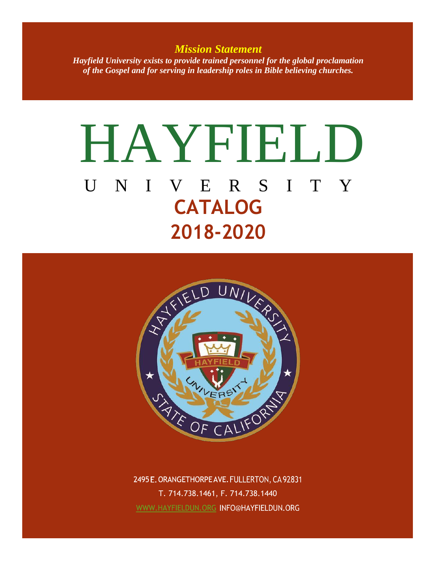*Mission Statement Hayfield University exists to provide trained personnel for the global proclamation of the Gospel and for serving in leadership roles in Bible believing churches.*

# HAYFIELD U N I V E R S I T Y **CATALOG 2018-2020**



2495 E. ORANGETHORPE AVE. FULLERTON, CA 92831 T. 714.738.1461, F. 714.738.1440 WWW.HAYFIELDUN.ORG INFO@HAYFIELDUN.ORG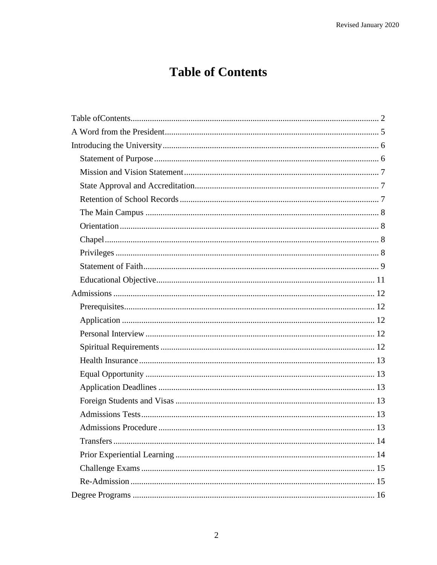# **Table of Contents**

<span id="page-1-0"></span>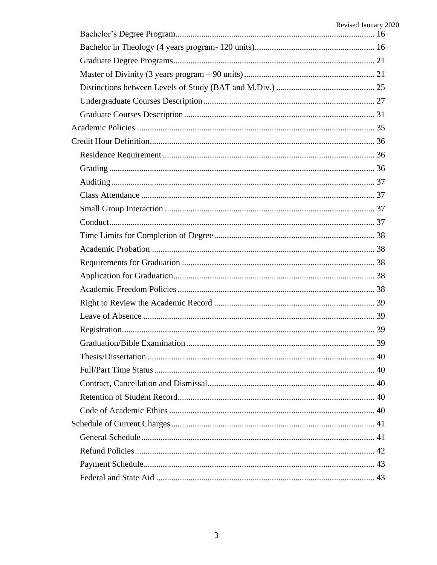| Revised January 2020 |
|----------------------|
|                      |
|                      |
|                      |
|                      |
|                      |
|                      |
|                      |
|                      |
|                      |
|                      |
|                      |
|                      |
|                      |
|                      |
|                      |
|                      |
|                      |
|                      |
|                      |
|                      |
|                      |
|                      |
|                      |
|                      |
|                      |
|                      |
|                      |
|                      |
|                      |
|                      |
|                      |
|                      |
|                      |
|                      |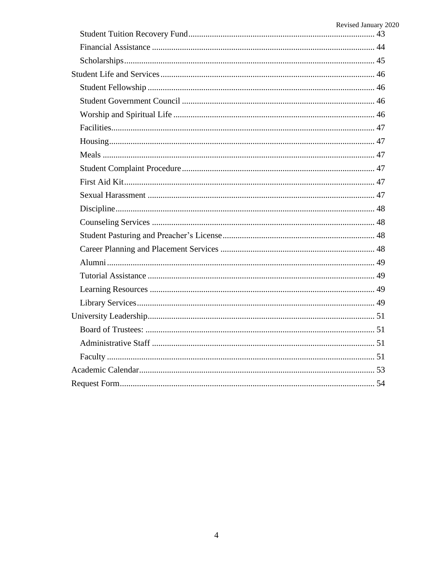| Revised January 2020 |
|----------------------|
|                      |
|                      |
|                      |
|                      |
|                      |
|                      |
|                      |
|                      |
|                      |
|                      |
|                      |
|                      |
|                      |
|                      |
|                      |
|                      |
|                      |
|                      |
|                      |
|                      |
|                      |
|                      |
|                      |
|                      |
|                      |
|                      |
|                      |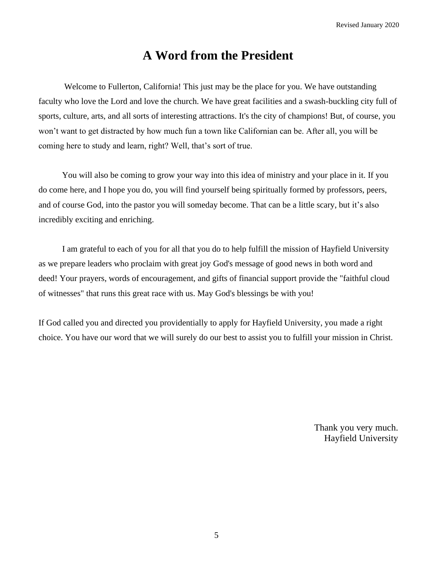### **A Word from the President**

<span id="page-4-0"></span>Welcome to Fullerton, California! This just may be the place for you. We have outstanding faculty who love the Lord and love the church. We have great facilities and a swash-buckling city full of sports, culture, arts, and all sorts of interesting attractions. It's the city of champions! But, of course, you won't want to get distracted by how much fun a town like Californian can be. After all, you will be coming here to study and learn, right? Well, that's sort of true.

You will also be coming to grow your way into this idea of ministry and your place in it. If you do come here, and I hope you do, you will find yourself being spiritually formed by professors, peers, and of course God, into the pastor you will someday become. That can be a little scary, but it's also incredibly exciting and enriching.

I am grateful to each of you for all that you do to help fulfill the mission of Hayfield University as we prepare leaders who proclaim with great joy God's message of good news in both word and deed! Your prayers, words of encouragement, and gifts of financial support provide the "faithful cloud of witnesses" that runs this great race with us. May God's blessings be with you!

If God called you and directed you providentially to apply for Hayfield University, you made a right choice. You have our word that we will surely do our best to assist you to fulfill your mission in Christ.

> Thank you very much. Hayfield University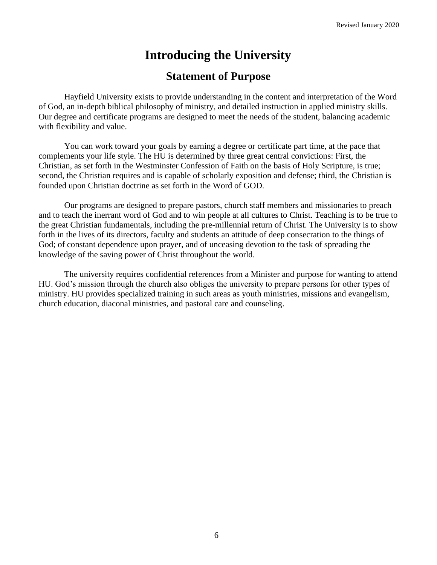# **Introducing the University**

### **Statement of Purpose**

<span id="page-5-1"></span><span id="page-5-0"></span>Hayfield University exists to provide understanding in the content and interpretation of the Word of God, an in-depth biblical philosophy of ministry, and detailed instruction in applied ministry skills. Our degree and certificate programs are designed to meet the needs of the student, balancing academic with flexibility and value.

You can work toward your goals by earning a degree or certificate part time, at the pace that complements your life style. The HU is determined by three great central convictions: First, the Christian, as set forth in the Westminster Confession of Faith on the basis of Holy Scripture, is true; second, the Christian requires and is capable of scholarly exposition and defense; third, the Christian is founded upon Christian doctrine as set forth in the Word of GOD.

Our programs are designed to prepare pastors, church staff members and missionaries to preach and to teach the inerrant word of God and to win people at all cultures to Christ. Teaching is to be true to the great Christian fundamentals, including the pre-millennial return of Christ. The University is to show forth in the lives of its directors, faculty and students an attitude of deep consecration to the things of God; of constant dependence upon prayer, and of unceasing devotion to the task of spreading the knowledge of the saving power of Christ throughout the world.

The university requires confidential references from a Minister and purpose for wanting to attend HU. God's mission through the church also obliges the university to prepare persons for other types of ministry. HU provides specialized training in such areas as youth ministries, missions and evangelism, church education, diaconal ministries, and pastoral care and counseling.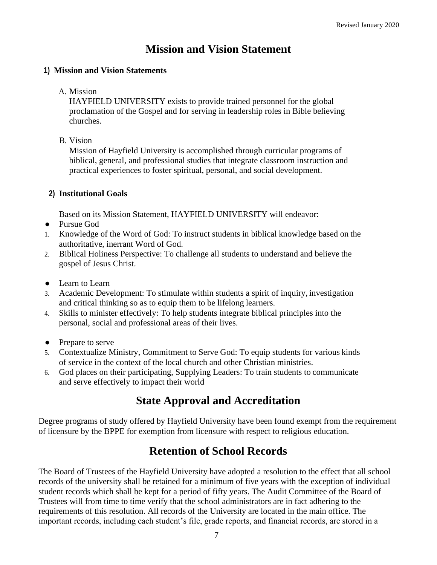### **Mission and Vision Statement**

#### <span id="page-6-0"></span>**1) Mission and Vision Statements**

#### A. Mission

HAYFIELD UNIVERSITY exists to provide trained personnel for the global proclamation of the Gospel and for serving in leadership roles in Bible believing churches.

#### B. Vision

Mission of Hayfield University is accomplished through curricular programs of biblical, general, and professional studies that integrate classroom instruction and practical experiences to foster spiritual, personal, and social development.

#### **2) Institutional Goals**

Based on its Mission Statement, HAYFIELD UNIVERSITY will endeavor:

- Pursue God
- 1. Knowledge of the Word of God: To instruct students in biblical knowledge based on the authoritative, inerrant Word of God.
- 2. Biblical Holiness Perspective: To challenge all students to understand and believe the gospel of Jesus Christ.
- Learn to Learn
- 3. Academic Development: To stimulate within students a spirit of inquiry, investigation and critical thinking so as to equip them to be lifelong learners.
- 4. Skills to minister effectively: To help students integrate biblical principles into the personal, social and professional areas of their lives.
- Prepare to serve
- 5. Contextualize Ministry, Commitment to Serve God: To equip students for various kinds of service in the context of the local church and other Christian ministries.
- <span id="page-6-1"></span>6. God places on their participating, Supplying Leaders: To train students to communicate and serve effectively to impact their world

### **State Approval and Accreditation**

<span id="page-6-2"></span>Degree programs of study offered by Hayfield University have been found exempt from the requirement of licensure by the BPPE for exemption from licensure with respect to religious education.

### **Retention of School Records**

The Board of Trustees of the Hayfield University have adopted a resolution to the effect that all school records of the university shall be retained for a minimum of five years with the exception of individual student records which shall be kept for a period of fifty years. The Audit Committee of the Board of Trustees will from time to time verify that the school administrators are in fact adhering to the requirements of this resolution. All records of the University are located in the main office. The important records, including each student's file, grade reports, and financial records, are stored in a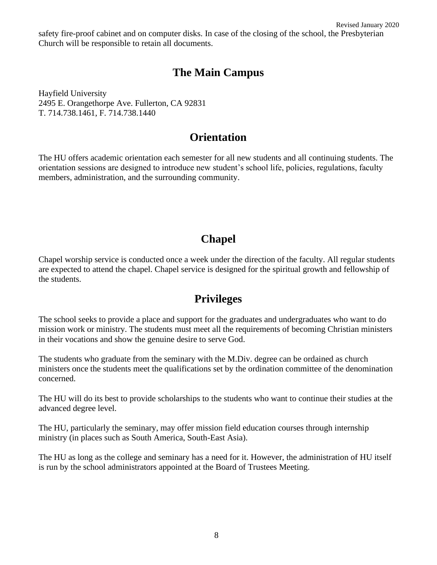Revised January 2020 safety fire-proof cabinet and on computer disks. In case of the closing of the school, the Presbyterian Church will be responsible to retain all documents.

### **The Main Campus**

<span id="page-7-0"></span>Hayfield University 2495 E. Orangethorpe Ave. Fullerton, CA 92831 T. 714.738.1461, F. 714.738.1440

### **Orientation**

<span id="page-7-1"></span>The HU offers academic orientation each semester for all new students and all continuing students. The orientation sessions are designed to introduce new student's school life, policies, regulations, faculty members, administration, and the surrounding community.

### **Chapel**

<span id="page-7-2"></span>Chapel worship service is conducted once a week under the direction of the faculty. All regular students are expected to attend the chapel. Chapel service is designed for the spiritual growth and fellowship of the students.

### **Privileges**

<span id="page-7-3"></span>The school seeks to provide a place and support for the graduates and undergraduates who want to do mission work or ministry. The students must meet all the requirements of becoming Christian ministers in their vocations and show the genuine desire to serve God.

The students who graduate from the seminary with the M.Div. degree can be ordained as church ministers once the students meet the qualifications set by the ordination committee of the denomination concerned.

The HU will do its best to provide scholarships to the students who want to continue their studies at the advanced degree level.

The HU, particularly the seminary, may offer mission field education courses through internship ministry (in places such as South America, South-East Asia).

The HU as long as the college and seminary has a need for it. However, the administration of HU itself is run by the school administrators appointed at the Board of Trustees Meeting.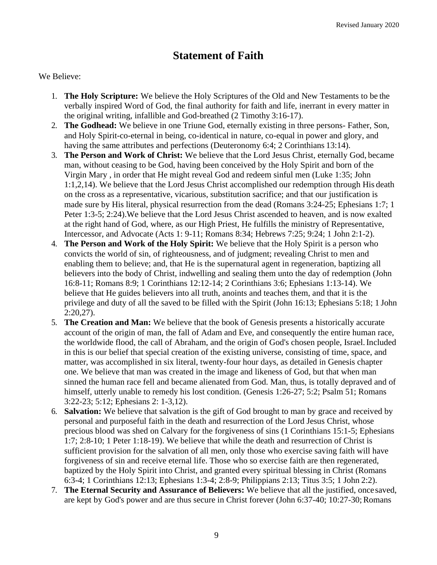### **Statement of Faith**

#### <span id="page-8-0"></span>We Believe:

- 1. **The Holy Scripture:** We believe the Holy Scriptures of the Old and New Testaments to be the verbally inspired Word of God, the final authority for faith and life, inerrant in every matter in the original writing, infallible and God-breathed (2 Timothy 3:16-17).
- 2. **The Godhead:** We believe in one Triune God, eternally existing in three persons- Father, Son, and Holy Spirit-co-eternal in being, co-identical in nature, co-equal in power and glory, and having the same attributes and perfections (Deuteronomy 6:4; 2 Corinthians 13:14).
- 3. **The Person and Work of Christ:** We believe that the Lord Jesus Christ, eternally God, became man, without ceasing to be God, having been conceived by the Holy Spirit and born of the Virgin Mary , in order that He might reveal God and redeem sinful men (Luke 1:35; John 1:1,2,14). We believe that the Lord Jesus Christ accomplished our redemption through His death on the cross as a representative, vicarious, substitution sacrifice; and that our justification is made sure by His literal, physical resurrection from the dead (Romans 3:24-25; Ephesians 1:7; 1 Peter 1:3-5; 2:24).We believe that the Lord Jesus Christ ascended to heaven, and is now exalted at the right hand of God, where, as our High Priest, He fulfills the ministry of Representative, Intercessor, and Advocate (Acts 1: 9-11; Romans 8:34; Hebrews 7:25; 9:24; 1 John 2:1-2).
- 4. **The Person and Work of the Holy Spirit:** We believe that the Holy Spirit is a person who convicts the world of sin, of righteousness, and of judgment; revealing Christ to men and enabling them to believe; and, that He is the supernatural agent in regeneration, baptizing all believers into the body of Christ, indwelling and sealing them unto the day of redemption (John 16:8-11; Romans 8:9; 1 Corinthians 12:12-14; 2 Corinthians 3:6; Ephesians 1:13-14). We believe that He guides believers into all truth, anoints and teaches them, and that it is the privilege and duty of all the saved to be filled with the Spirit (John 16:13; Ephesians 5:18; 1 John  $2:20.27$ ).
- 5. **The Creation and Man:** We believe that the book of Genesis presents a historically accurate account of the origin of man, the fall of Adam and Eve, and consequently the entire human race, the worldwide flood, the call of Abraham, and the origin of God's chosen people, Israel.Included in this is our belief that special creation of the existing universe, consisting of time, space, and matter, was accomplished in six literal, twenty-four hour days, as detailed in Genesis chapter one. We believe that man was created in the image and likeness of God, but that when man sinned the human race fell and became alienated from God. Man, thus, is totally depraved and of himself, utterly unable to remedy his lost condition. (Genesis 1:26-27; 5:2; Psalm 51; Romans 3:22-23; 5:12; Ephesians 2: 1-3,12).
- 6. **Salvation:** We believe that salvation is the gift of God brought to man by grace and received by personal and purposeful faith in the death and resurrection of the Lord Jesus Christ, whose precious blood was shed on Calvary for the forgiveness of sins (1 Corinthians 15:1-5; Ephesians 1:7; 2:8-10; 1 Peter 1:18-19). We believe that while the death and resurrection of Christ is sufficient provision for the salvation of all men, only those who exercise saving faith will have forgiveness of sin and receive eternal life. Those who so exercise faith are then regenerated, baptized by the Holy Spirit into Christ, and granted every spiritual blessing in Christ (Romans 6:3-4; 1 Corinthians 12:13; Ephesians 1:3-4; 2:8-9; Philippians 2:13; Titus 3:5; 1 John 2:2).
- 7. **The Eternal Security and Assurance of Believers:** We believe that all the justified, oncesaved, are kept by God's power and are thus secure in Christ forever (John 6:37-40; 10:27-30;Romans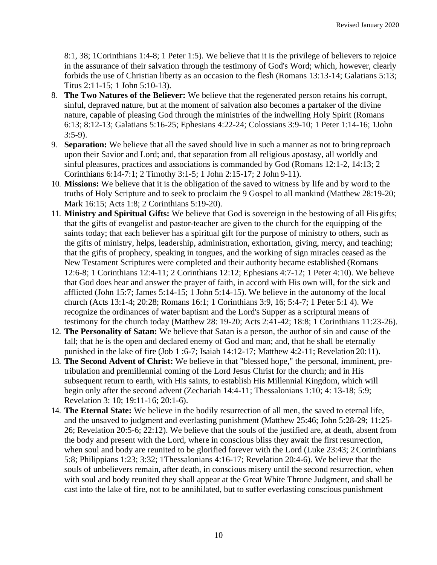8:1, 38; 1Corinthians 1:4-8; 1 Peter 1:5). We believe that it is the privilege of believers to rejoice in the assurance of their salvation through the testimony of God's Word; which, however, clearly forbids the use of Christian liberty as an occasion to the flesh (Romans 13:13-14; Galatians 5:13; Titus 2:11-15; 1 John 5:10-13).

- 8. **The Two Natures of the Believer:** We believe that the regenerated person retains his corrupt, sinful, depraved nature, but at the moment of salvation also becomes a partaker of the divine nature, capable of pleasing God through the ministries of the indwelling Holy Spirit (Romans 6:13; 8:12-13; Galatians 5:16-25; Ephesians 4:22-24; Colossians 3:9-10; 1 Peter 1:14-16; 1John 3:5-9).
- 9. **Separation:** We believe that all the saved should live in such a manner as not to bring reproach upon their Savior and Lord; and, that separation from all religious apostasy, all worldly and sinful pleasures, practices and associations is commanded by God (Romans 12:1-2, 14:13; 2 Corinthians 6:14-7:1; 2 Timothy 3:1-5; 1 John 2:15-17; 2 John 9-11).
- 10. **Missions:** We believe that it is the obligation of the saved to witness by life and by word to the truths of Holy Scripture and to seek to proclaim the 9 Gospel to all mankind (Matthew 28:19-20; Mark 16:15; Acts 1:8; 2 Corinthians 5:19-20).
- 11. **Ministry and Spiritual Gifts:** We believe that God is sovereign in the bestowing of all His gifts; that the gifts of evangelist and pastor-teacher are given to the church for the equipping of the saints today; that each believer has a spiritual gift for the purpose of ministry to others, such as the gifts of ministry, helps, leadership, administration, exhortation, giving, mercy, and teaching; that the gifts of prophecy, speaking in tongues, and the working of sign miracles ceased as the New Testament Scriptures were completed and their authority became established (Romans 12:6-8; 1 Corinthians 12:4-11; 2 Corinthians 12:12; Ephesians 4:7-12; 1 Peter 4:10). We believe that God does hear and answer the prayer of faith, in accord with His own will, for the sick and afflicted (John 15:7; James 5:14-15; 1 John 5:14-15). We believe in the autonomy of the local church (Acts 13:1-4; 20:28; Romans 16:1; 1 Corinthians 3:9, 16; 5:4-7; 1 Peter 5:1 4). We recognize the ordinances of water baptism and the Lord's Supper as a scriptural means of testimony for the church today (Matthew 28: 19-20; Acts 2:41-42; 18:8; 1 Corinthians 11:23-26).
- 12. **The Personality of Satan:** We believe that Satan is a person, the author of sin and cause of the fall; that he is the open and declared enemy of God and man; and, that he shall be eternally punished in the lake of fire (Job 1 :6-7; Isaiah 14:12-17; Matthew 4:2-11; Revelation 20:11).
- 13. **The Second Advent of Christ:** We believe in that "blessed hope," the personal, imminent, pretribulation and premillennial coming of the Lord Jesus Christ for the church; and in His subsequent return to earth, with His saints, to establish His Millennial Kingdom, which will begin only after the second advent (Zechariah 14:4-11; Thessalonians 1:10; 4: 13-18; 5:9; Revelation 3: 10; 19:11-16; 20:1-6).
- 14. **The Eternal State:** We believe in the bodily resurrection of all men, the saved to eternal life, and the unsaved to judgment and everlasting punishment (Matthew 25:46; John 5:28-29; 11:25- 26; Revelation 20:5-6; 22:12). We believe that the souls of the justified are, at death, absent from the body and present with the Lord, where in conscious bliss they await the first resurrection, when soul and body are reunited to be glorified forever with the Lord (Luke 23:43; 2 Corinthians 5:8; Philippians 1:23; 3:32; 1Thessalonians 4:16-17; Revelation 20:4-6). We believe that the souls of unbelievers remain, after death, in conscious misery until the second resurrection, when with soul and body reunited they shall appear at the Great White Throne Judgment, and shall be cast into the lake of fire, not to be annihilated, but to suffer everlasting conscious punishment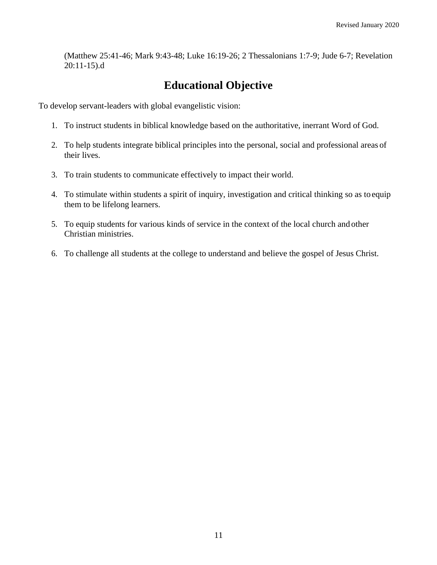(Matthew 25:41-46; Mark 9:43-48; Luke 16:19-26; 2 Thessalonians 1:7-9; Jude 6-7; Revelation 20:11-15).d

### **Educational Objective**

<span id="page-10-0"></span>To develop servant-leaders with global evangelistic vision:

- 1. To instruct students in biblical knowledge based on the authoritative, inerrant Word of God.
- 2. To help students integrate biblical principles into the personal, social and professional areas of their lives.
- 3. To train students to communicate effectively to impact their world.
- 4. To stimulate within students a spirit of inquiry, investigation and critical thinking so as to equip them to be lifelong learners.
- 5. To equip students for various kinds of service in the context of the local church and other Christian ministries.
- 6. To challenge all students at the college to understand and believe the gospel of Jesus Christ.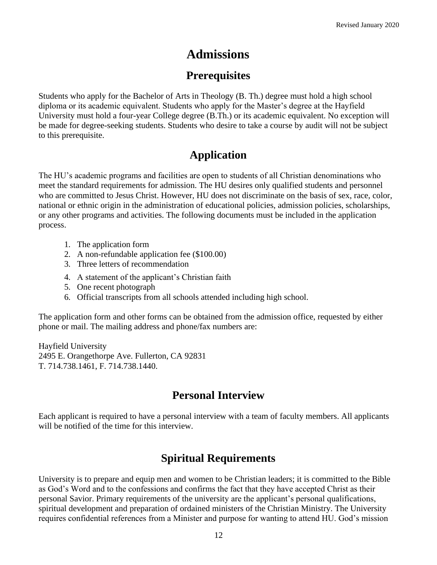### **Admissions**

### **Prerequisites**

<span id="page-11-1"></span><span id="page-11-0"></span>Students who apply for the Bachelor of Arts in Theology (B. Th.) degree must hold a high school diploma or its academic equivalent. Students who apply for the Master's degree at the Hayfield University must hold a four-year College degree (B.Th.) or its academic equivalent. No exception will be made for degree-seeking students. Students who desire to take a course by audit will not be subject to this prerequisite.

### **Application**

<span id="page-11-2"></span>The HU's academic programs and facilities are open to students of all Christian denominations who meet the standard requirements for admission. The HU desires only qualified students and personnel who are committed to Jesus Christ. However, HU does not discriminate on the basis of sex, race, color, national or ethnic origin in the administration of educational policies, admission policies, scholarships, or any other programs and activities. The following documents must be included in the application process.

- 1. The application form
- 2. A non-refundable application fee (\$100.00)
- 3. Three letters of recommendation
- 4. A statement of the applicant's Christian faith
- 5. One recent photograph
- 6. Official transcripts from all schools attended including high school.

The application form and other forms can be obtained from the admission office, requested by either phone or mail. The mailing address and phone/fax numbers are:

Hayfield University 2495 E. Orangethorpe Ave. Fullerton, CA 92831 T. 714.738.1461, F. 714.738.1440.

### **Personal Interview**

<span id="page-11-3"></span>Each applicant is required to have a personal interview with a team of faculty members. All applicants will be notified of the time for this interview.

### **Spiritual Requirements**

<span id="page-11-4"></span>University is to prepare and equip men and women to be Christian leaders; it is committed to the Bible as God's Word and to the confessions and confirms the fact that they have accepted Christ as their personal Savior. Primary requirements of the university are the applicant's personal qualifications, spiritual development and preparation of ordained ministers of the Christian Ministry. The University requires confidential references from a Minister and purpose for wanting to attend HU. God's mission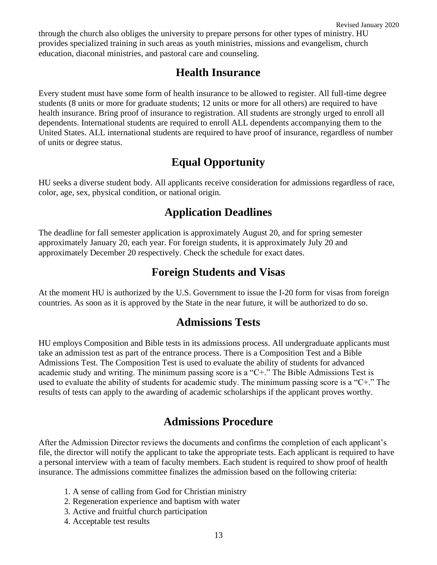<span id="page-12-0"></span>through the church also obliges the university to prepare persons for other types of ministry. HU provides specialized training in such areas as youth ministries, missions and evangelism, church education, diaconal ministries, and pastoral care and counseling.

### **Health Insurance**

Every student must have some form of health insurance to be allowed to register. All full-time degree students (8 units or more for graduate students; 12 units or more for all others) are required to have health insurance. Bring proof of insurance to registration. All students are strongly urged to enroll all dependents. International students are required to enroll ALL dependents accompanying them to the United States. ALL international students are required to have proof of insurance, regardless of number of units or degree status.

### **Equal Opportunity**

<span id="page-12-2"></span><span id="page-12-1"></span>HU seeks a diverse student body. All applicants receive consideration for admissions regardless of race, color, age, sex, physical condition, or national origin.

### **Application Deadlines**

<span id="page-12-3"></span>The deadline for fall semester application is approximately August 20, and for spring semester approximately January 20, each year. For foreign students, it is approximately July 20 and approximately December 20 respectively. Check the schedule for exact dates.

### **Foreign Students and Visas**

<span id="page-12-4"></span>At the moment HU is authorized by the U.S. Government to issue the I-20 form for visas from foreign countries. As soon as it is approved by the State in the near future, it will be authorized to do so.

### **Admissions Tests**

HU employs Composition and Bible tests in its admissions process. All undergraduate applicants must take an admission test as part of the entrance process. There is a Composition Test and a Bible Admissions Test. The Composition Test is used to evaluate the ability of students for advanced academic study and writing. The minimum passing score is a "C+." The Bible Admissions Test is used to evaluate the ability of students for academic study. The minimum passing score is a "C+." The results of tests can apply to the awarding of academic scholarships if the applicant proves worthy.

### **Admissions Procedure**

<span id="page-12-5"></span>After the Admission Director reviews the documents and confirms the completion of each applicant's file, the director will notify the applicant to take the appropriate tests. Each applicant is required to have a personal interview with a team of faculty members. Each student is required to show proof of health insurance. The admissions committee finalizes the admission based on the following criteria:

- 1. A sense of calling from God for Christian ministry
- 2. Regeneration experience and baptism with water
- 3. Active and fruitful church participation
- 4. Acceptable test results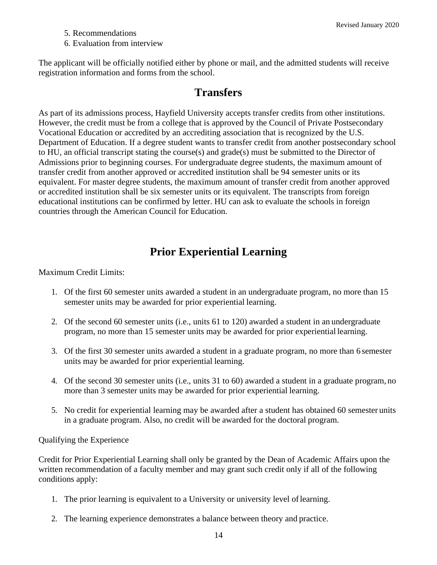- 5. Recommendations
- 6. Evaluation from interview

<span id="page-13-0"></span>The applicant will be officially notified either by phone or mail, and the admitted students will receive registration information and forms from the school.

### **Transfers**

As part of its admissions process, Hayfield University accepts transfer credits from other institutions. However, the credit must be from a college that is approved by the Council of Private Postsecondary Vocational Education or accredited by an accrediting association that is recognized by the U.S. Department of Education. If a degree student wants to transfer credit from another postsecondary school to HU, an official transcript stating the course(s) and grade(s) must be submitted to the Director of Admissions prior to beginning courses. For undergraduate degree students, the maximum amount of transfer credit from another approved or accredited institution shall be 94 semester units or its equivalent. For master degree students, the maximum amount of transfer credit from another approved or accredited institution shall be six semester units or its equivalent. The transcripts from foreign educational institutions can be confirmed by letter. HU can ask to evaluate the schools in foreign countries through the American Council for Education.

### **Prior Experiential Learning**

<span id="page-13-1"></span>Maximum Credit Limits:

- 1. Of the first 60 semester units awarded a student in an undergraduate program, no more than 15 semester units may be awarded for prior experiential learning.
- 2. Of the second 60 semester units (i.e., units 61 to 120) awarded a student in an undergraduate program, no more than 15 semester units may be awarded for prior experiential learning.
- 3. Of the first 30 semester units awarded a student in a graduate program, no more than 6 semester units may be awarded for prior experiential learning.
- 4. Of the second 30 semester units (i.e., units 31 to 60) awarded a student in a graduate program, no more than 3 semester units may be awarded for prior experiential learning.
- 5. No credit for experiential learning may be awarded after a student has obtained 60 semester units in a graduate program. Also, no credit will be awarded for the doctoral program.

Qualifying the Experience

Credit for Prior Experiential Learning shall only be granted by the Dean of Academic Affairs upon the written recommendation of a faculty member and may grant such credit only if all of the following conditions apply:

- 1. The prior learning is equivalent to a University or university level oflearning.
- 2. The learning experience demonstrates a balance between theory and practice.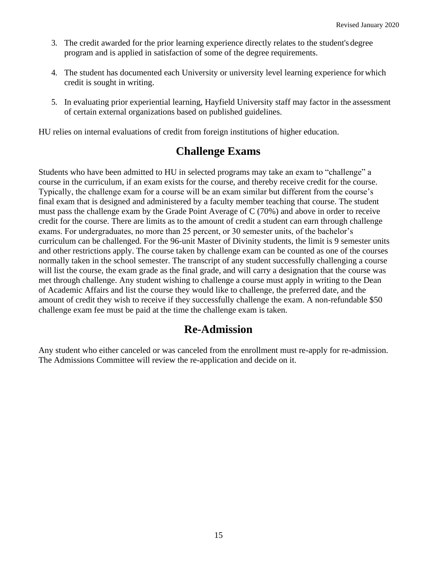- 3. The credit awarded for the prior learning experience directly relates to the student's degree program and is applied in satisfaction of some of the degree requirements.
- 4. The student has documented each University or university level learning experience forwhich credit is sought in writing.
- 5. In evaluating prior experiential learning, Hayfield University staff may factor in the assessment of certain external organizations based on published guidelines.

<span id="page-14-0"></span>HU relies on internal evaluations of credit from foreign institutions of higher education.

### **Challenge Exams**

Students who have been admitted to HU in selected programs may take an exam to "challenge" a course in the curriculum, if an exam exists for the course, and thereby receive credit for the course. Typically, the challenge exam for a course will be an exam similar but different from the course's final exam that is designed and administered by a faculty member teaching that course. The student must pass the challenge exam by the Grade Point Average of C (70%) and above in order to receive credit for the course. There are limits as to the amount of credit a student can earn through challenge exams. For undergraduates, no more than 25 percent, or 30 semester units, of the bachelor's curriculum can be challenged. For the 96-unit Master of Divinity students, the limit is 9 semester units and other restrictions apply. The course taken by challenge exam can be counted as one of the courses normally taken in the school semester. The transcript of any student successfully challenging a course will list the course, the exam grade as the final grade, and will carry a designation that the course was met through challenge. Any student wishing to challenge a course must apply in writing to the Dean of Academic Affairs and list the course they would like to challenge, the preferred date, and the amount of credit they wish to receive if they successfully challenge the exam. A non-refundable \$50 challenge exam fee must be paid at the time the challenge exam is taken.

### **Re-Admission**

<span id="page-14-1"></span>Any student who either canceled or was canceled from the enrollment must re-apply for re-admission. The Admissions Committee will review the re-application and decide on it.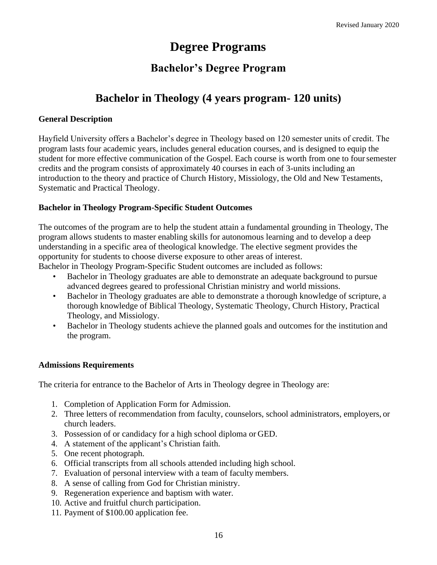## **Degree Programs**

### **Bachelor's Degree Program**

### **Bachelor in Theology (4 years program- 120 units)**

#### <span id="page-15-2"></span><span id="page-15-1"></span><span id="page-15-0"></span>**General Description**

Hayfield University offers a Bachelor's degree in Theology based on 120 semester units of credit. The program lasts four academic years, includes general education courses, and is designed to equip the student for more effective communication of the Gospel. Each course is worth from one to foursemester credits and the program consists of approximately 40 courses in each of 3-units including an introduction to the theory and practice of Church History, Missiology, the Old and New Testaments, Systematic and Practical Theology.

#### **Bachelor in Theology Program-Specific Student Outcomes**

The outcomes of the program are to help the student attain a fundamental grounding in Theology, The program allows students to master enabling skills for autonomous learning and to develop a deep understanding in a specific area of theological knowledge. The elective segment provides the opportunity for students to choose diverse exposure to other areas of interest.

Bachelor in Theology Program-Specific Student outcomes are included as follows:

- Bachelor in Theology graduates are able to demonstrate an adequate background to pursue advanced degrees geared to professional Christian ministry and world missions.
- Bachelor in Theology graduates are able to demonstrate a thorough knowledge of scripture, a thorough knowledge of Biblical Theology, Systematic Theology, Church History, Practical Theology, and Missiology.
- Bachelor in Theology students achieve the planned goals and outcomes for the institution and the program.

#### **Admissions Requirements**

The criteria for entrance to the Bachelor of Arts in Theology degree in Theology are:

- 1. Completion of Application Form for Admission.
- 2. Three letters of recommendation from faculty, counselors, school administrators, employers, or church leaders.
- 3. Possession of or candidacy for a high school diploma or GED.
- 4. A statement of the applicant's Christian faith.
- 5. One recent photograph.
- 6. Official transcripts from all schools attended including high school.
- 7. Evaluation of personal interview with a team of faculty members.
- 8. A sense of calling from God for Christian ministry.
- 9. Regeneration experience and baptism with water.
- 10. Active and fruitful church participation.
- 11. Payment of \$100.00 application fee.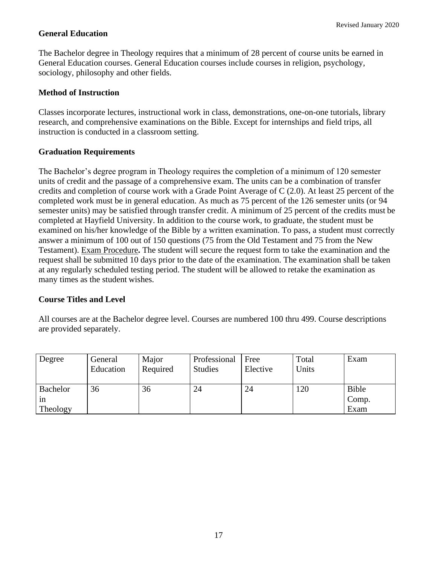#### **General Education**

The Bachelor degree in Theology requires that a minimum of 28 percent of course units be earned in General Education courses. General Education courses include courses in religion, psychology, sociology, philosophy and other fields.

#### **Method of Instruction**

Classes incorporate lectures, instructional work in class, demonstrations, one-on-one tutorials, library research, and comprehensive examinations on the Bible. Except for internships and field trips, all instruction is conducted in a classroom setting.

#### **Graduation Requirements**

The Bachelor's degree program in Theology requires the completion of a minimum of 120 semester units of credit and the passage of a comprehensive exam. The units can be a combination of transfer credits and completion of course work with a Grade Point Average of C (2.0). At least 25 percent of the completed work must be in general education. As much as 75 percent of the 126 semester units (or 94 semester units) may be satisfied through transfer credit. A minimum of 25 percent of the credits must be completed at Hayfield University. In addition to the course work, to graduate, the student must be examined on his/her knowledge of the Bible by a written examination. To pass, a student must correctly answer a minimum of 100 out of 150 questions (75 from the Old Testament and 75 from the New Testament). Exam Procedure**.** The student will secure the request form to take the examination and the request shall be submitted 10 days prior to the date of the examination. The examination shall be taken at any regularly scheduled testing period. The student will be allowed to retake the examination as many times as the student wishes.

#### **Course Titles and Level**

All courses are at the Bachelor degree level. Courses are numbered 100 thru 499. Course descriptions are provided separately.

| Degree          | General<br>Education | Major<br>Required | Professional<br><b>Studies</b> | Free<br>Elective | Total<br>Units | Exam  |
|-----------------|----------------------|-------------------|--------------------------------|------------------|----------------|-------|
| <b>Bachelor</b> | 36                   | 36                | 24                             | 24               | 120            | Bible |
| 1n              |                      |                   |                                |                  |                | Comp. |
| Theology        |                      |                   |                                |                  |                | Exam  |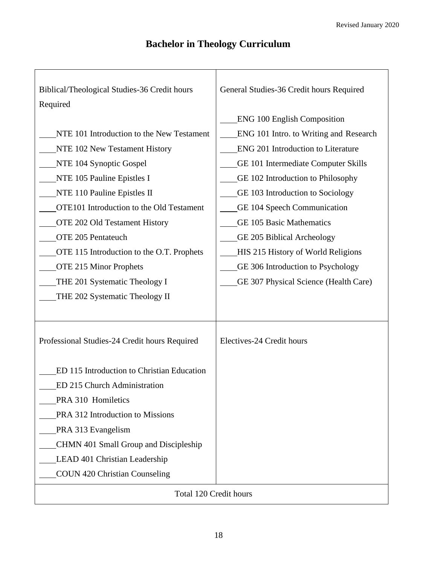### **Bachelor in Theology Curriculum**

| Biblical/Theological Studies-36 Credit hours<br>Required | General Studies-36 Credit hours Required |  |  |  |
|----------------------------------------------------------|------------------------------------------|--|--|--|
|                                                          | <b>ENG 100 English Composition</b>       |  |  |  |
| NTE 101 Introduction to the New Testament                | ENG 101 Intro. to Writing and Research   |  |  |  |
| NTE 102 New Testament History                            | ENG 201 Introduction to Literature       |  |  |  |
| NTE 104 Synoptic Gospel                                  | GE 101 Intermediate Computer Skills      |  |  |  |
| NTE 105 Pauline Epistles I                               | GE 102 Introduction to Philosophy        |  |  |  |
| NTE 110 Pauline Epistles II                              | GE 103 Introduction to Sociology         |  |  |  |
| OTE101 Introduction to the Old Testament                 | GE 104 Speech Communication              |  |  |  |
| OTE 202 Old Testament History                            | <b>GE 105 Basic Mathematics</b>          |  |  |  |
| OTE 205 Pentateuch                                       | GE 205 Biblical Archeology               |  |  |  |
| OTE 115 Introduction to the O.T. Prophets                | HIS 215 History of World Religions       |  |  |  |
| <b>OTE 215 Minor Prophets</b>                            | GE 306 Introduction to Psychology        |  |  |  |
| THE 201 Systematic Theology I                            | GE 307 Physical Science (Health Care)    |  |  |  |
| THE 202 Systematic Theology II                           |                                          |  |  |  |
|                                                          |                                          |  |  |  |
|                                                          |                                          |  |  |  |
| Professional Studies-24 Credit hours Required            | Electives-24 Credit hours                |  |  |  |
|                                                          |                                          |  |  |  |
| ED 115 Introduction to Christian Education               |                                          |  |  |  |
| ED 215 Church Administration                             |                                          |  |  |  |
| PRA 310 Homiletics                                       |                                          |  |  |  |
| PRA 312 Introduction to Missions                         |                                          |  |  |  |
| PRA 313 Evangelism                                       |                                          |  |  |  |
| CHMN 401 Small Group and Discipleship                    |                                          |  |  |  |
| LEAD 401 Christian Leadership                            |                                          |  |  |  |
| <b>COUN 420 Christian Counseling</b>                     |                                          |  |  |  |
|                                                          |                                          |  |  |  |
| Total 120 Credit hours                                   |                                          |  |  |  |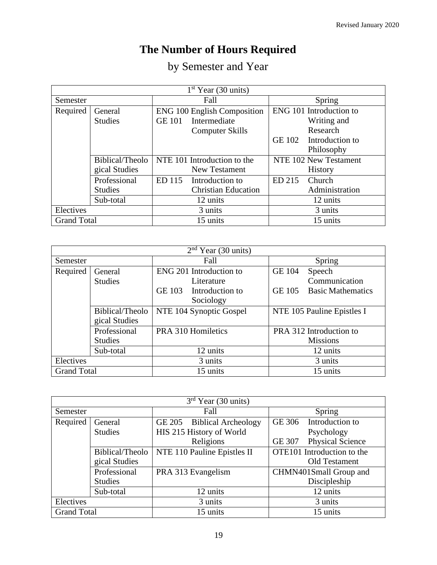# **The Number of Hours Required**

|  | by Semester and Year |  |  |
|--|----------------------|--|--|
|--|----------------------|--|--|

| $1st$ Year (30 units) |                 |               |                                    |        |                         |
|-----------------------|-----------------|---------------|------------------------------------|--------|-------------------------|
| Semester              |                 |               | Fall                               |        | Spring                  |
| Required              | General         |               | <b>ENG 100 English Composition</b> |        | ENG 101 Introduction to |
|                       | <b>Studies</b>  | <b>GE 101</b> | Intermediate                       |        | Writing and             |
|                       |                 |               | <b>Computer Skills</b>             |        | Research                |
|                       |                 |               |                                    | GE 102 | Introduction to         |
|                       |                 |               |                                    |        | Philosophy              |
|                       | Biblical/Theolo |               | NTE 101 Introduction to the        |        | NTE 102 New Testament   |
|                       | gical Studies   |               | <b>New Testament</b>               |        | <b>History</b>          |
|                       | Professional    | ED 115        | Introduction to                    | ED 215 | Church                  |
|                       | <b>Studies</b>  |               | <b>Christian Education</b>         |        | Administration          |
|                       | Sub-total       |               | 12 units                           |        | 12 units                |
| Electives             |                 |               | 3 units                            |        | 3 units                 |
| <b>Grand Total</b>    |                 |               | 15 units                           |        | 15 units                |

| $2nd Year$ (30 units) |                 |                                  |                                           |  |  |
|-----------------------|-----------------|----------------------------------|-------------------------------------------|--|--|
| Semester              |                 | Fall                             | Spring                                    |  |  |
| Required              | General         | ENG 201 Introduction to          | <b>GE 104</b><br>Speech                   |  |  |
|                       | <b>Studies</b>  | Literature                       | Communication                             |  |  |
|                       |                 | <b>GE 103</b><br>Introduction to | <b>GE 105</b><br><b>Basic Mathematics</b> |  |  |
|                       |                 | Sociology                        |                                           |  |  |
|                       | Biblical/Theolo | NTE 104 Synoptic Gospel          | NTE 105 Pauline Epistles I                |  |  |
|                       | gical Studies   |                                  |                                           |  |  |
|                       | Professional    | PRA 310 Homiletics               | PRA 312 Introduction to                   |  |  |
|                       | <b>Studies</b>  |                                  | <b>Missions</b>                           |  |  |
|                       | Sub-total       | 12 units                         | 12 units                                  |  |  |
| Electives             |                 | 3 units                          | 3 units                                   |  |  |
| <b>Grand Total</b>    |                 | 15 units                         | 15 units                                  |  |  |

| $3rd$ Year (30 units)                      |                 |                             |                                          |  |  |
|--------------------------------------------|-----------------|-----------------------------|------------------------------------------|--|--|
| Semester                                   |                 | Fall                        | Spring                                   |  |  |
| Required                                   | General         | GE 205 Biblical Archeology  | Introduction to<br><b>GE 306</b>         |  |  |
|                                            | <b>Studies</b>  | HIS 215 History of World    | Psychology                               |  |  |
|                                            |                 | Religions                   | <b>Physical Science</b><br><b>GE 307</b> |  |  |
|                                            | Biblical/Theolo | NTE 110 Pauline Epistles II | OTE101 Introduction to the               |  |  |
|                                            | gical Studies   |                             | Old Testament                            |  |  |
|                                            | Professional    | PRA 313 Evangelism          | CHMN401Small Group and                   |  |  |
|                                            | <b>Studies</b>  |                             | Discipleship                             |  |  |
|                                            | Sub-total       | 12 units                    | 12 units                                 |  |  |
| Electives                                  |                 | 3 units                     | 3 units                                  |  |  |
| <b>Grand Total</b><br>15 units<br>15 units |                 |                             |                                          |  |  |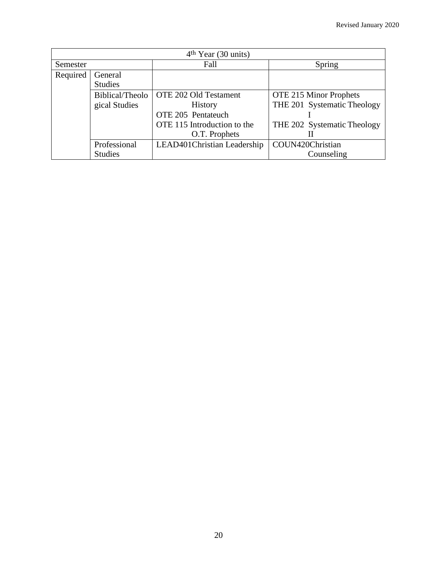| $4th Year$ (30 units) |                           |                              |                               |  |
|-----------------------|---------------------------|------------------------------|-------------------------------|--|
| Semester              |                           | Fall                         | Spring                        |  |
| Required              | General<br><b>Studies</b> |                              |                               |  |
|                       | Biblical/Theolo           | OTE 202 Old Testament        | <b>OTE 215 Minor Prophets</b> |  |
|                       | gical Studies             | <b>History</b>               | THE 201 Systematic Theology   |  |
|                       |                           | OTE 205 Pentateuch           |                               |  |
|                       |                           | OTE 115 Introduction to the  | THE 202 Systematic Theology   |  |
|                       |                           | O.T. Prophets                |                               |  |
|                       | Professional              | LEAD401 Christian Leadership | COUN420Christian              |  |
|                       | <b>Studies</b>            |                              | Counseling                    |  |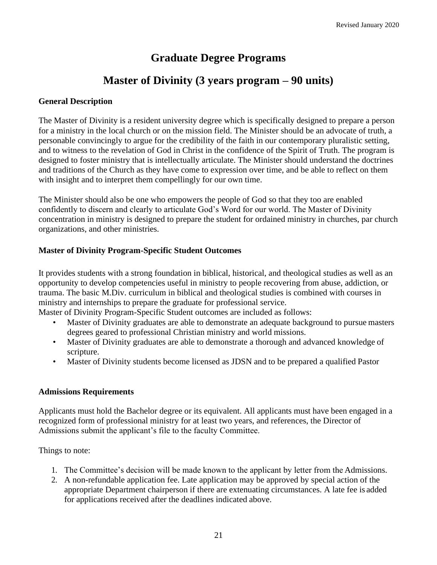### **Graduate Degree Programs**

### **Master of Divinity (3 years program – 90 units)**

#### <span id="page-20-1"></span><span id="page-20-0"></span>**General Description**

The Master of Divinity is a resident university degree which is specifically designed to prepare a person for a ministry in the local church or on the mission field. The Minister should be an advocate of truth, a personable convincingly to argue for the credibility of the faith in our contemporary pluralistic setting, and to witness to the revelation of God in Christ in the confidence of the Spirit of Truth. The program is designed to foster ministry that is intellectually articulate. The Minister should understand the doctrines and traditions of the Church as they have come to expression over time, and be able to reflect on them with insight and to interpret them compellingly for our own time.

The Minister should also be one who empowers the people of God so that they too are enabled confidently to discern and clearly to articulate God's Word for our world. The Master of Divinity concentration in ministry is designed to prepare the student for ordained ministry in churches, par church organizations, and other ministries.

#### **Master of Divinity Program-Specific Student Outcomes**

It provides students with a strong foundation in biblical, historical, and theological studies as well as an opportunity to develop competencies useful in ministry to people recovering from abuse, addiction, or trauma. The basic M.Div. curriculum in biblical and theological studies is combined with courses in ministry and internships to prepare the graduate for professional service.

Master of Divinity Program-Specific Student outcomes are included as follows:

- Master of Divinity graduates are able to demonstrate an adequate background to pursue masters degrees geared to professional Christian ministry and world missions.
- Master of Divinity graduates are able to demonstrate a thorough and advanced knowledge of scripture.
- Master of Divinity students become licensed as JDSN and to be prepared a qualified Pastor

#### **Admissions Requirements**

Applicants must hold the Bachelor degree or its equivalent. All applicants must have been engaged in a recognized form of professional ministry for at least two years, and references, the Director of Admissions submit the applicant's file to the faculty Committee.

Things to note:

- 1. The Committee's decision will be made known to the applicant by letter from the Admissions.
- 2. A non-refundable application fee. Late application may be approved by special action of the appropriate Department chairperson if there are extenuating circumstances. A late fee is added for applications received after the deadlines indicated above.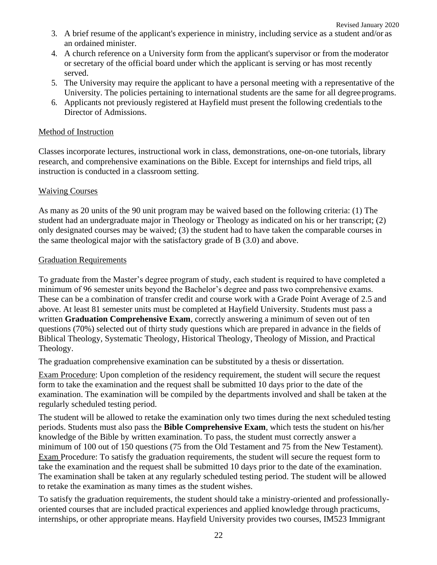- 3. A brief resume of the applicant's experience in ministry, including service as a student and/or as an ordained minister.
- 4. A church reference on a University form from the applicant's supervisor or from the moderator or secretary of the official board under which the applicant is serving or has most recently served.
- 5. The University may require the applicant to have a personal meeting with a representative of the University. The policies pertaining to international students are the same for all degreeprograms.
- 6. Applicants not previously registered at Hayfield must present the following credentials to the Director of Admissions.

#### Method of Instruction

Classes incorporate lectures, instructional work in class, demonstrations, one-on-one tutorials, library research, and comprehensive examinations on the Bible. Except for internships and field trips, all instruction is conducted in a classroom setting.

#### Waiving Courses

As many as 20 units of the 90 unit program may be waived based on the following criteria: (1) The student had an undergraduate major in Theology or Theology as indicated on his or her transcript; (2) only designated courses may be waived; (3) the student had to have taken the comparable courses in the same theological major with the satisfactory grade of B (3.0) and above.

#### Graduation Requirements

To graduate from the Master's degree program of study, each student is required to have completed a minimum of 96 semester units beyond the Bachelor's degree and pass two comprehensive exams. These can be a combination of transfer credit and course work with a Grade Point Average of 2.5 and above. At least 81 semester units must be completed at Hayfield University. Students must pass a written **Graduation Comprehensive Exam**, correctly answering a minimum of seven out of ten questions (70%) selected out of thirty study questions which are prepared in advance in the fields of Biblical Theology, Systematic Theology, Historical Theology, Theology of Mission, and Practical Theology.

The graduation comprehensive examination can be substituted by a thesis or dissertation.

Exam Procedure: Upon completion of the residency requirement, the student will secure the request form to take the examination and the request shall be submitted 10 days prior to the date of the examination. The examination will be compiled by the departments involved and shall be taken at the regularly scheduled testing period.

The student will be allowed to retake the examination only two times during the next scheduled testing periods. Students must also pass the **Bible Comprehensive Exam**, which tests the student on his/her knowledge of the Bible by written examination. To pass, the student must correctly answer a minimum of 100 out of 150 questions (75 from the Old Testament and 75 from the New Testament). Exam Procedure: To satisfy the graduation requirements, the student will secure the request form to take the examination and the request shall be submitted 10 days prior to the date of the examination. The examination shall be taken at any regularly scheduled testing period. The student will be allowed to retake the examination as many times as the student wishes.

To satisfy the graduation requirements, the student should take a ministry-oriented and professionallyoriented courses that are included practical experiences and applied knowledge through practicums, internships, or other appropriate means. Hayfield University provides two courses, IM523 Immigrant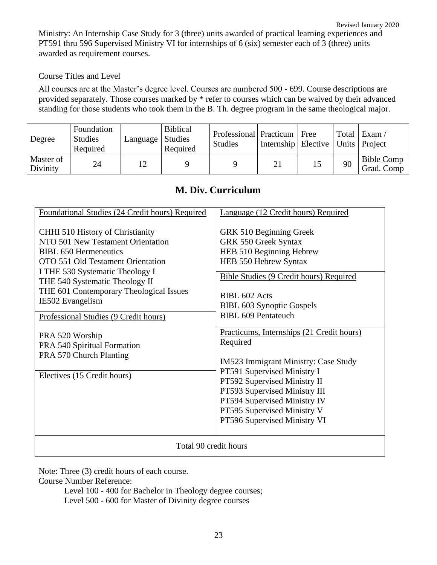Revised January 2020 Ministry: An Internship Case Study for 3 (three) units awarded of practical learning experiences and PT591 thru 596 Supervised Ministry VI for internships of 6 (six) semester each of 3 (three) units awarded as requirement courses.

#### Course Titles and Level

All courses are at the Master's degree level. Courses are numbered 500 - 699. Course descriptions are provided separately. Those courses marked by \* refer to courses which can be waived by their advanced standing for those students who took them in the B. Th. degree program in the same theological major.

| Degree                | Foundation<br><b>Studies</b><br>Required | Language | <b>Biblical</b><br>Studies<br>Required | Professional Practicum<br><b>Studies</b> | Internship   Elective   Units   Project | Free | Total | $\vert$ Exam /                  |
|-----------------------|------------------------------------------|----------|----------------------------------------|------------------------------------------|-----------------------------------------|------|-------|---------------------------------|
| Master of<br>Divinity | 24                                       |          |                                        |                                          | 21                                      |      | 90    | <b>Bible Comp</b><br>Grad. Comp |

#### **M. Div. Curriculum**

| Foundational Studies (24 Credit hours) Required                                                                                                                                                                                                                                                                         | Language (12 Credit hours) Required                                                                                                                                                                                                                                                          |  |  |
|-------------------------------------------------------------------------------------------------------------------------------------------------------------------------------------------------------------------------------------------------------------------------------------------------------------------------|----------------------------------------------------------------------------------------------------------------------------------------------------------------------------------------------------------------------------------------------------------------------------------------------|--|--|
| CHHI 510 History of Christianity<br>NTO 501 New Testament Orientation<br><b>BIBL 650 Hermeneutics</b><br>OTO 551 Old Testament Orientation<br>I THE 530 Systematic Theology I<br>THE 540 Systematic Theology II<br>THE 601 Contemporary Theological Issues<br>IE502 Evangelism<br>Professional Studies (9 Credit hours) | GRK 510 Beginning Greek<br><b>GRK 550 Greek Syntax</b><br>HEB 510 Beginning Hebrew<br>HEB 550 Hebrew Syntax<br>Bible Studies (9 Credit hours) Required<br>BIBL 602 Acts<br>BIBL 603 Synoptic Gospels<br>BIBL 609 Pentateuch                                                                  |  |  |
| PRA 520 Worship<br>PRA 540 Spiritual Formation<br>PRA 570 Church Planting<br>Electives (15 Credit hours)                                                                                                                                                                                                                | Practicums, Internships (21 Credit hours)<br>Required<br>IM523 Immigrant Ministry: Case Study<br>PT591 Supervised Ministry I<br>PT592 Supervised Ministry II<br>PT593 Supervised Ministry III<br>PT594 Supervised Ministry IV<br>PT595 Supervised Ministry V<br>PT596 Supervised Ministry VI |  |  |
| Total 90 credit hours                                                                                                                                                                                                                                                                                                   |                                                                                                                                                                                                                                                                                              |  |  |

Note: Three (3) credit hours of each course.

Course Number Reference:

Level 100 - 400 for Bachelor in Theology degree courses; Level 500 - 600 for Master of Divinity degree courses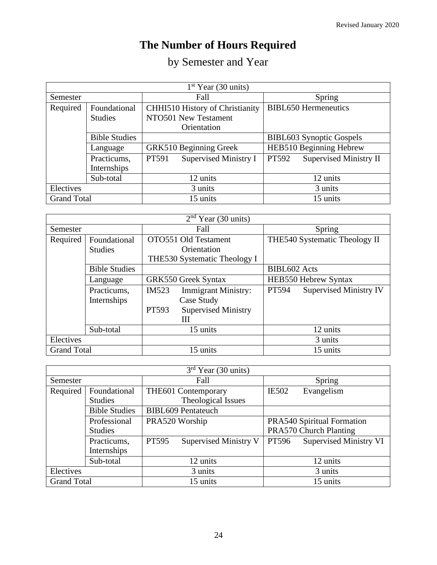# **The Number of Hours Required**

# by Semester and Year

| $1st$ Year (30 units) |                      |                                        |                                        |  |
|-----------------------|----------------------|----------------------------------------|----------------------------------------|--|
| Semester              |                      | Fall                                   | Spring                                 |  |
| Required              | Foundational         | <b>CHHI510 History of Christianity</b> | <b>BIBL650</b> Hermeneutics            |  |
|                       | <b>Studies</b>       | NTO501 New Testament                   |                                        |  |
|                       |                      | Orientation                            |                                        |  |
|                       | <b>Bible Studies</b> |                                        | <b>BIBL603</b> Synoptic Gospels        |  |
|                       | Language             | GRK510 Beginning Greek                 | HEB510 Beginning Hebrew                |  |
|                       | Practicums,          | <b>Supervised Ministry I</b><br>PT591  | <b>Supervised Ministry II</b><br>PT592 |  |
|                       | Internships          |                                        |                                        |  |
|                       | Sub-total            | 12 units                               | 12 units                               |  |
| Electives             |                      | 3 units                                | 3 units                                |  |
| <b>Grand Total</b>    |                      | 15 units                               | 15 units                               |  |

| $2nd Year$ (30 units) |                      |       |                              |                     |                               |
|-----------------------|----------------------|-------|------------------------------|---------------------|-------------------------------|
| Semester              |                      | Fall  |                              | Spring              |                               |
| Required              | Foundational         |       | OTO551 Old Testament         |                     | THE540 Systematic Theology II |
|                       | <b>Studies</b>       |       | Orientation                  |                     |                               |
|                       |                      |       | THE530 Systematic Theology I |                     |                               |
|                       | <b>Bible Studies</b> |       |                              | <b>BIBL602</b> Acts |                               |
|                       | Language             |       | <b>GRK550 Greek Syntax</b>   |                     | HEB550 Hebrew Syntax          |
|                       | Practicums,          | IM523 | <b>Immigrant Ministry:</b>   | PT594               | <b>Supervised Ministry IV</b> |
|                       | Internships          |       | Case Study                   |                     |                               |
|                       |                      | PT593 | <b>Supervised Ministry</b>   |                     |                               |
|                       |                      |       | Ш                            |                     |                               |
|                       | Sub-total            |       | 15 units                     |                     | 12 units                      |
| Electives             |                      |       |                              |                     | 3 units                       |
| <b>Grand Total</b>    |                      |       | 15 units                     |                     | 15 units                      |

| $3rd$ Year (30 units) |                      |         |                              |              |                               |
|-----------------------|----------------------|---------|------------------------------|--------------|-------------------------------|
| Semester              |                      | Fall    |                              | Spring       |                               |
| Required              | Foundational         |         | THE601 Contemporary          | <b>IE502</b> | Evangelism                    |
|                       | <b>Studies</b>       |         | Theological Issues           |              |                               |
|                       | <b>Bible Studies</b> |         | <b>BIBL609 Pentateuch</b>    |              |                               |
|                       | Professional         |         | PRA520 Worship               |              | PRA540 Spiritual Formation    |
|                       | <b>Studies</b>       |         |                              |              | PRA570 Church Planting        |
|                       | Practicums,          | PT595   | <b>Supervised Ministry V</b> | PT596        | <b>Supervised Ministry VI</b> |
|                       | Internships          |         |                              |              |                               |
|                       | Sub-total            |         | 12 units                     |              | 12 units                      |
| Electives             |                      | 3 units |                              | 3 units      |                               |
| <b>Grand Total</b>    |                      |         | 15 units                     |              | 15 units                      |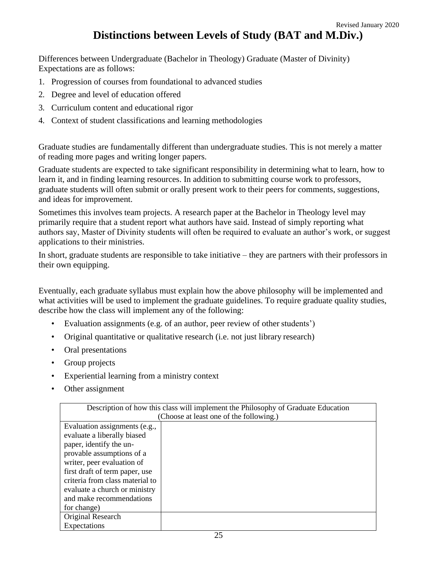### **Distinctions between Levels of Study (BAT and M.Div.)**

<span id="page-24-0"></span>Differences between Undergraduate (Bachelor in Theology) Graduate (Master of Divinity) Expectations are as follows:

- 1. Progression of courses from foundational to advanced studies
- 2. Degree and level of education offered
- 3. Curriculum content and educational rigor
- 4. Context of student classifications and learning methodologies

Graduate studies are fundamentally different than undergraduate studies. This is not merely a matter of reading more pages and writing longer papers.

Graduate students are expected to take significant responsibility in determining what to learn, how to learn it, and in finding learning resources. In addition to submitting course work to professors, graduate students will often submit or orally present work to their peers for comments, suggestions, and ideas for improvement.

Sometimes this involves team projects. A research paper at the Bachelor in Theology level may primarily require that a student report what authors have said. Instead of simply reporting what authors say, Master of Divinity students will often be required to evaluate an author's work, or suggest applications to their ministries.

In short, graduate students are responsible to take initiative – they are partners with their professors in their own equipping.

Eventually, each graduate syllabus must explain how the above philosophy will be implemented and what activities will be used to implement the graduate guidelines. To require graduate quality studies, describe how the class will implement any of the following:

- Evaluation assignments (e.g. of an author, peer review of other students')
- Original quantitative or qualitative research (i.e. not just library research)
- Oral presentations
- Group projects
- Experiential learning from a ministry context
- Other assignment

| Description of how this class will implement the Philosophy of Graduate Education |  |  |  |
|-----------------------------------------------------------------------------------|--|--|--|
| (Choose at least one of the following.)                                           |  |  |  |
| Evaluation assignments (e.g.,                                                     |  |  |  |
| evaluate a liberally biased                                                       |  |  |  |
| paper, identify the un-                                                           |  |  |  |
| provable assumptions of a                                                         |  |  |  |
| writer, peer evaluation of                                                        |  |  |  |
| first draft of term paper, use                                                    |  |  |  |
| criteria from class material to                                                   |  |  |  |
| evaluate a church or ministry                                                     |  |  |  |
| and make recommendations                                                          |  |  |  |
| for change)                                                                       |  |  |  |
| Original Research                                                                 |  |  |  |
| Expectations                                                                      |  |  |  |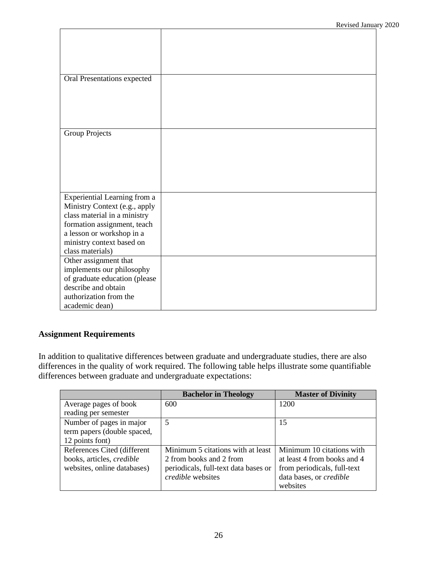| Oral Presentations expected   |  |
|-------------------------------|--|
|                               |  |
|                               |  |
|                               |  |
|                               |  |
|                               |  |
| Group Projects                |  |
|                               |  |
|                               |  |
|                               |  |
|                               |  |
|                               |  |
|                               |  |
| Experiential Learning from a  |  |
| Ministry Context (e.g., apply |  |
| class material in a ministry  |  |
| formation assignment, teach   |  |
| a lesson or workshop in a     |  |
| ministry context based on     |  |
| class materials)              |  |
| Other assignment that         |  |
| implements our philosophy     |  |
| of graduate education (please |  |
| describe and obtain           |  |
| authorization from the        |  |
| academic dean)                |  |
|                               |  |

### **Assignment Requirements**

In addition to qualitative differences between graduate and undergraduate studies, there are also differences in the quality of work required. The following table helps illustrate some quantifiable differences between graduate and undergraduate expectations:

|                                  | <b>Bachelor in Theology</b>          | <b>Master of Divinity</b>   |
|----------------------------------|--------------------------------------|-----------------------------|
| Average pages of book            | 600                                  | 1200                        |
| reading per semester             |                                      |                             |
| Number of pages in major         | 5                                    | 15                          |
| term papers (double spaced,      |                                      |                             |
| 12 points font)                  |                                      |                             |
| References Cited (different      | Minimum 5 citations with at least    | Minimum 10 citations with   |
| books, articles, <i>credible</i> | 2 from books and 2 from              | at least 4 from books and 4 |
| websites, online databases)      | periodicals, full-text data bases or | from periodicals, full-text |
|                                  | credible websites                    | data bases, or credible     |
|                                  |                                      | websites                    |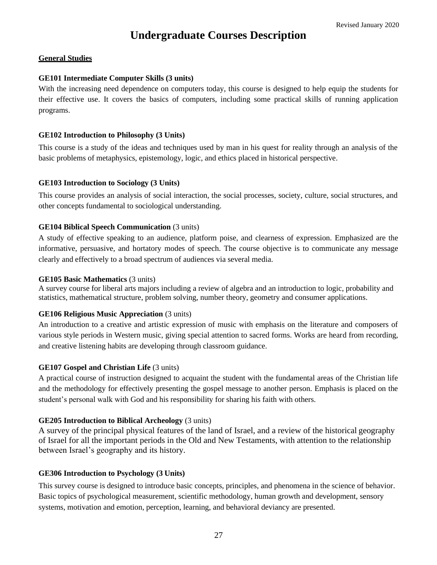### **Undergraduate Courses Description**

#### <span id="page-26-0"></span>**General Studies**

#### **GE101 Intermediate Computer Skills (3 units)**

With the increasing need dependence on computers today, this course is designed to help equip the students for their effective use. It covers the basics of computers, including some practical skills of running application programs.

#### **GE102 Introduction to Philosophy (3 Units)**

This course is a study of the ideas and techniques used by man in his quest for reality through an analysis of the basic problems of metaphysics, epistemology, logic, and ethics placed in historical perspective.

#### **GE103 Introduction to Sociology (3 Units)**

This course provides an analysis of social interaction, the social processes, society, culture, social structures, and other concepts fundamental to sociological understanding.

#### **GE104 Biblical Speech Communication** (3 units)

A study of effective speaking to an audience, platform poise, and clearness of expression. Emphasized are the informative, persuasive, and hortatory modes of speech. The course objective is to communicate any message clearly and effectively to a broad spectrum of audiences via several media.

#### **GE105 Basic Mathematics** (3 units)

A survey course for liberal arts majors including a review of algebra and an introduction to logic, probability and statistics, mathematical structure, problem solving, number theory, geometry and consumer applications.

#### **GE106 Religious Music Appreciation** (3 units)

An introduction to a creative and artistic expression of music with emphasis on the literature and composers of various style periods in Western music, giving special attention to sacred forms. Works are heard from recording, and creative listening habits are developing through classroom guidance.

#### **GE107 Gospel and Christian Life (3 units)**

A practical course of instruction designed to acquaint the student with the fundamental areas of the Christian life and the methodology for effectively presenting the gospel message to another person. Emphasis is placed on the student's personal walk with God and his responsibility for sharing his faith with others.

#### **GE205 Introduction to Biblical Archeology** (3 units)

A survey of the principal physical features of the land of Israel, and a review of the historical geography of Israel for all the important periods in the Old and New Testaments, with attention to the relationship between Israel's geography and its history.

#### **GE306 Introduction to Psychology (3 Units)**

This survey course is designed to introduce basic concepts, principles, and phenomena in the science of behavior. Basic topics of psychological measurement, scientific methodology, human growth and development, sensory systems, motivation and emotion, perception, learning, and behavioral deviancy are presented.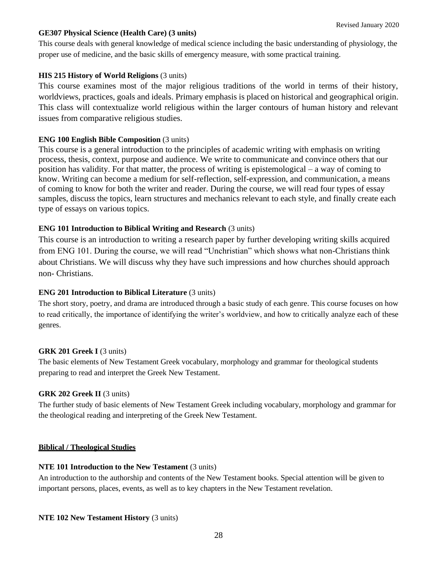#### Revised January 2020

#### **GE307 Physical Science (Health Care) (3 units)**

This course deals with general knowledge of medical science including the basic understanding of physiology, the proper use of medicine, and the basic skills of emergency measure, with some practical training.

#### **HIS 215 History of World Religions** (3 units)

This course examines most of the major religious traditions of the world in terms of their history, worldviews, practices, goals and ideals. Primary emphasis is placed on historical and geographical origin. This class will contextualize world religious within the larger contours of human history and relevant issues from comparative religious studies.

#### **ENG 100 English Bible Composition** (3 units)

This course is a general introduction to the principles of academic writing with emphasis on writing process, thesis, context, purpose and audience. We write to communicate and convince others that our position has validity. For that matter, the process of writing is epistemological – a way of coming to know. Writing can become a medium for self-reflection, self-expression, and communication, a means of coming to know for both the writer and reader. During the course, we will read four types of essay samples, discuss the topics, learn structures and mechanics relevant to each style, and finally create each type of essays on various topics.

#### **ENG 101 Introduction to Biblical Writing and Research** (3 units)

This course is an introduction to writing a research paper by further developing writing skills acquired from ENG 101. During the course, we will read "Unchristian" which shows what non-Christians think about Christians. We will discuss why they have such impressions and how churches should approach non- Christians.

#### **ENG 201 Introduction to Biblical Literature** (3 units)

The short story, poetry, and drama are introduced through a basic study of each genre. This course focuses on how to read critically, the importance of identifying the writer's worldview, and how to critically analyze each of these genres.

#### **GRK 201 Greek I** (3 units)

The basic elements of New Testament Greek vocabulary, morphology and grammar for theological students preparing to read and interpret the Greek New Testament.

#### **GRK 202 Greek II** (3 units)

The further study of basic elements of New Testament Greek including vocabulary, morphology and grammar for the theological reading and interpreting of the Greek New Testament.

#### **Biblical / Theological Studies**

#### **NTE 101 Introduction to the New Testament** (3 units)

An introduction to the authorship and contents of the New Testament books. Special attention will be given to important persons, places, events, as well as to key chapters in the New Testament revelation.

#### **NTE 102 New Testament History** (3 units)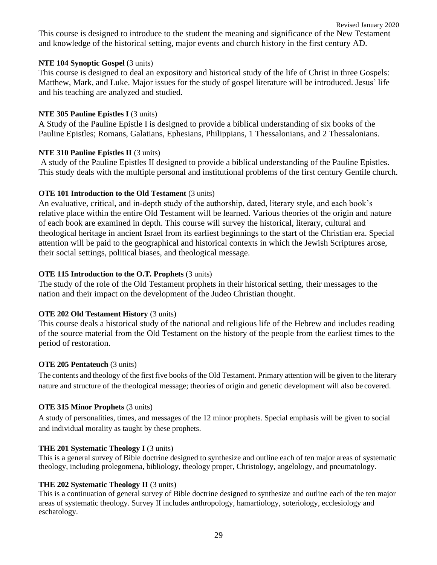This course is designed to introduce to the student the meaning and significance of the New Testament and knowledge of the historical setting, major events and church history in the first century AD.

#### **NTE 104 Synoptic Gospel** (3 units)

This course is designed to deal an expository and historical study of the life of Christ in three Gospels: Matthew, Mark, and Luke. Major issues for the study of gospel literature will be introduced. Jesus' life and his teaching are analyzed and studied.

#### **NTE 305 Pauline Epistles I** (3 units)

A Study of the Pauline Epistle I is designed to provide a biblical understanding of six books of the Pauline Epistles; Romans, Galatians, Ephesians, Philippians, 1 Thessalonians, and 2 Thessalonians.

#### **NTE 310 Pauline Epistles II** (3 units)

A study of the Pauline Epistles II designed to provide a biblical understanding of the Pauline Epistles. This study deals with the multiple personal and institutional problems of the first century Gentile church.

#### **OTE 101 Introduction to the Old Testament** (3 units)

An evaluative, critical, and in-depth study of the authorship, dated, literary style, and each book's relative place within the entire Old Testament will be learned. Various theories of the origin and nature of each book are examined in depth. This course will survey the historical, literary, cultural and theological heritage in ancient Israel from its earliest beginnings to the start of the Christian era. Special attention will be paid to the geographical and historical contexts in which the Jewish Scriptures arose, their social settings, political biases, and theological message.

#### **OTE 115 Introduction to the O.T. Prophets** (3 units)

The study of the role of the Old Testament prophets in their historical setting, their messages to the nation and their impact on the development of the Judeo Christian thought.

#### **OTE 202 Old Testament History** (3 units)

This course deals a historical study of the national and religious life of the Hebrew and includes reading of the source material from the Old Testament on the history of the people from the earliest times to the period of restoration.

#### **OTE 205 Pentateuch (3 units)**

The contents and theology of the first five books of the Old Testament. Primary attention will be given to the literary nature and structure of the theological message; theories of origin and genetic development will also be covered.

#### **OTE 315 Minor Prophets** (3 units)

A study of personalities, times, and messages of the 12 minor prophets. Special emphasis will be given to social and individual morality as taught by these prophets.

#### **THE 201 Systematic Theology I (3 units)**

This is a general survey of Bible doctrine designed to synthesize and outline each of ten major areas of systematic theology, including prolegomena, bibliology, theology proper, Christology, angelology, and pneumatology.

#### **THE 202 Systematic Theology II** (3 units)

This is a continuation of general survey of Bible doctrine designed to synthesize and outline each of the ten major areas of systematic theology. Survey II includes anthropology, hamartiology, soteriology, ecclesiology and eschatology.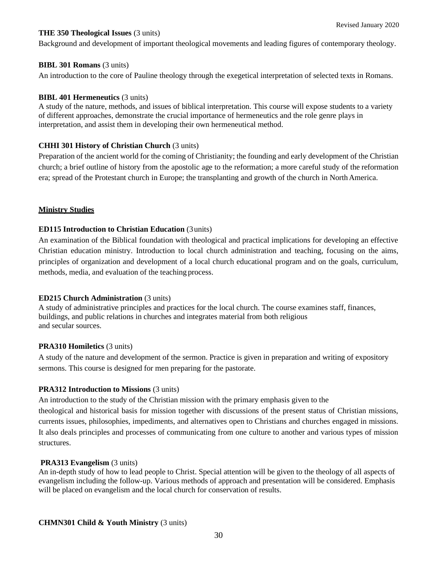#### **THE 350 Theological Issues** (3 units)

Background and development of important theological movements and leading figures of contemporary theology.

#### **BIBL 301 Romans** (3 units)

An introduction to the core of Pauline theology through the exegetical interpretation of selected texts in Romans.

#### **BIBL 401 Hermeneutics** (3 units)

A study of the nature, methods, and issues of biblical interpretation. This course will expose students to a variety of different approaches, demonstrate the crucial importance of hermeneutics and the role genre plays in interpretation, and assist them in developing their own hermeneutical method.

#### **CHHI 301 History of Christian Church** (3 units)

Preparation of the ancient world for the coming of Christianity; the founding and early development of the Christian church; a brief outline of history from the apostolic age to the reformation; a more careful study of the reformation era; spread of the Protestant church in Europe; the transplanting and growth of the church in NorthAmerica.

#### **Ministry Studies**

#### **ED115 Introduction to Christian Education** (3units)

An examination of the Biblical foundation with theological and practical implications for developing an effective Christian education ministry. Introduction to local church administration and teaching, focusing on the aims, principles of organization and development of a local church educational program and on the goals, curriculum, methods, media, and evaluation of the teaching process.

#### **ED215 Church Administration (3 units)**

A study of administrative principles and practices for the local church. The course examines staff, finances, buildings, and public relations in churches and integrates material from both religious and secular sources.

#### **PRA310 Homiletics (3 units)**

A study of the nature and development of the sermon. Practice is given in preparation and writing of expository sermons. This course is designed for men preparing for the pastorate.

#### **PRA312 Introduction to Missions (3 units)**

An introduction to the study of the Christian mission with the primary emphasis given to the theological and historical basis for mission together with discussions of the present status of Christian missions, currents issues, philosophies, impediments, and alternatives open to Christians and churches engaged in missions. It also deals principles and processes of communicating from one culture to another and various types of mission structures.

#### **PRA313 Evangelism (3 units)**

An in-depth study of how to lead people to Christ. Special attention will be given to the theology of all aspects of evangelism including the follow-up. Various methods of approach and presentation will be considered. Emphasis will be placed on evangelism and the local church for conservation of results.

#### **CHMN301 Child & Youth Ministry** (3 units)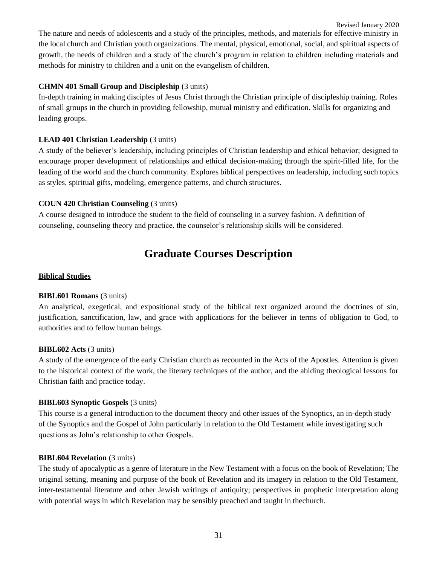Revised January 2020 The nature and needs of adolescents and a study of the principles, methods, and materials for effective ministry in the local church and Christian youth organizations. The mental, physical, emotional, social, and spiritual aspects of growth, the needs of children and a study of the church's program in relation to children including materials and methods for ministry to children and a unit on the evangelism of children.

#### **CHMN 401 Small Group and Discipleship** (3 units)

In-depth training in making disciples of Jesus Christ through the Christian principle of discipleship training. Roles of small groups in the church in providing fellowship, mutual ministry and edification. Skills for organizing and leading groups.

#### **LEAD 401 Christian Leadership** (3 units)

A study of the believer's leadership, including principles of Christian leadership and ethical behavior; designed to encourage proper development of relationships and ethical decision-making through the spirit-filled life, for the leading of the world and the church community. Explores biblical perspectives on leadership, including such topics as styles, spiritual gifts, modeling, emergence patterns, and church structures.

#### **COUN 420 Christian Counseling** (3 units)

A course designed to introduce the student to the field of counseling in a survey fashion. A definition of counseling, counseling theory and practice, the counselor's relationship skills will be considered.

### **Graduate Courses Description**

#### <span id="page-30-0"></span>**Biblical Studies**

#### **BIBL601 Romans** (3 units)

An analytical, exegetical, and expositional study of the biblical text organized around the doctrines of sin, justification, sanctification, law, and grace with applications for the believer in terms of obligation to God, to authorities and to fellow human beings.

#### **BIBL602 Acts** (3 units)

A study of the emergence of the early Christian church as recounted in the Acts of the Apostles. Attention is given to the historical context of the work, the literary techniques of the author, and the abiding theological lessons for Christian faith and practice today.

#### **BIBL603 Synoptic Gospels** (3 units)

This course is a general introduction to the document theory and other issues of the Synoptics, an in-depth study of the Synoptics and the Gospel of John particularly in relation to the Old Testament while investigating such questions as John's relationship to other Gospels.

#### **BIBL604 Revelation (3 units)**

The study of apocalyptic as a genre of literature in the New Testament with a focus on the book of Revelation; The original setting, meaning and purpose of the book of Revelation and its imagery in relation to the Old Testament, inter-testamental literature and other Jewish writings of antiquity; perspectives in prophetic interpretation along with potential ways in which Revelation may be sensibly preached and taught in thechurch.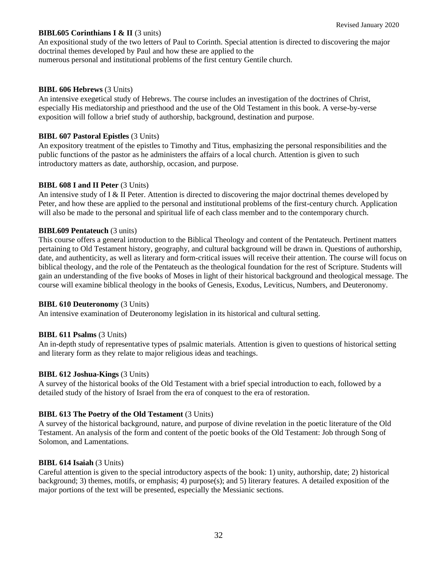#### **BIBL605 Corinthians I & II** (3 units)

An expositional study of the two letters of Paul to Corinth. Special attention is directed to discovering the major doctrinal themes developed by Paul and how these are applied to the numerous personal and institutional problems of the first century Gentile church.

#### **BIBL 606 Hebrews** (3 Units)

An intensive exegetical study of Hebrews. The course includes an investigation of the doctrines of Christ, especially His mediatorship and priesthood and the use of the Old Testament in this book. A verse-by-verse exposition will follow a brief study of authorship, background, destination and purpose.

#### **BIBL 607 Pastoral Epistles** (3 Units)

An expository treatment of the epistles to Timothy and Titus, emphasizing the personal responsibilities and the public functions of the pastor as he administers the affairs of a local church. Attention is given to such introductory matters as date, authorship, occasion, and purpose.

#### **BIBL 608 I and II Peter (3 Units)**

An intensive study of I & II Peter. Attention is directed to discovering the major doctrinal themes developed by Peter, and how these are applied to the personal and institutional problems of the first-century church. Application will also be made to the personal and spiritual life of each class member and to the contemporary church.

#### **BIBL609 Pentateuch (3 units)**

This course offers a general introduction to the Biblical Theology and content of the Pentateuch. Pertinent matters pertaining to Old Testament history, geography, and cultural background will be drawn in. Questions of authorship, date, and authenticity, as well as literary and form-critical issues will receive their attention. The course will focus on biblical theology, and the role of the Pentateuch as the theological foundation for the rest of Scripture. Students will gain an understanding of the five books of Moses in light of their historical background and theological message. The course will examine biblical theology in the books of Genesis, Exodus, Leviticus, Numbers, and Deuteronomy.

#### **BIBL 610 Deuteronomy** (3 Units)

An intensive examination of Deuteronomy legislation in its historical and cultural setting.

#### **BIBL 611 Psalms** (3 Units)

An in-depth study of representative types of psalmic materials. Attention is given to questions of historical setting and literary form as they relate to major religious ideas and teachings.

#### **BIBL 612 Joshua-Kings** (3 Units)

A survey of the historical books of the Old Testament with a brief special introduction to each, followed by a detailed study of the history of Israel from the era of conquest to the era of restoration.

#### **BIBL 613 The Poetry of the Old Testament** (3 Units)

A survey of the historical background, nature, and purpose of divine revelation in the poetic literature of the Old Testament. An analysis of the form and content of the poetic books of the Old Testament: Job through Song of Solomon, and Lamentations.

#### **BIBL 614 Isaiah** (3 Units)

Careful attention is given to the special introductory aspects of the book: 1) unity, authorship, date; 2) historical background; 3) themes, motifs, or emphasis; 4) purpose(s); and 5) literary features. A detailed exposition of the major portions of the text will be presented, especially the Messianic sections.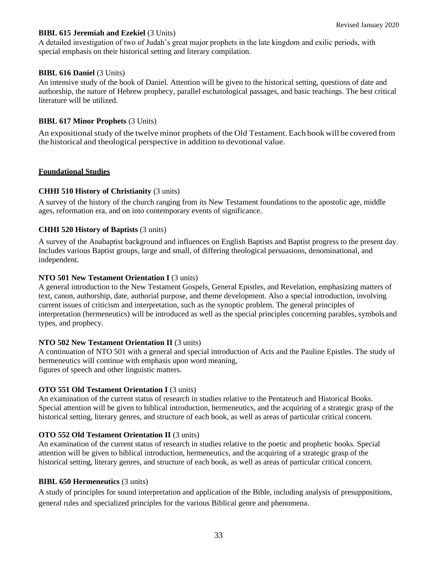#### **BIBL 615 Jeremiah and Ezekiel (3 Units)**

A detailed investigation of two of Judah's great major prophets in the late kingdom and exilic periods, with special emphasis on their historical setting and literary compilation.

#### **BIBL 616 Daniel (3 Units)**

An intensive study of the book of Daniel. Attention will be given to the historical setting, questions of date and authorship, the nature of Hebrew prophecy, parallel eschatological passages, and basic teachings. The best critical literature will be utilized.

#### **BIBL 617 Minor Prophets** (3 Units)

An expositional study of the twelve minor prophets of the Old Testament. Each book will be covered from the historical and theological perspective in addition to devotional value.

#### **Foundational Studies**

#### **CHHI 510 History of Christianity** (3 units)

A survey of the history of the church ranging from its New Testament foundations to the apostolic age, middle ages, reformation era, and on into contemporary events of significance.

#### **CHHI 520 History of Baptists** (3 units)

A survey of the Anabaptist background and influences on English Baptists and Baptist progress to the present day. Includes various Baptist groups, large and small, of differing theological persuasions, denominational, and independent.

#### **NTO 501 New Testament Orientation I (3 units)**

A general introduction to the New Testament Gospels, General Epistles, and Revelation, emphasizing matters of text, canon, authorship, date, authorial purpose, and theme development. Also a special introduction, involving current issues of criticism and interpretation, such as the synoptic problem. The general principles of interpretation (hermeneutics) will be introduced as well as the special principles concerning parables, symbols and types, and prophecy.

#### **NTO 502 New Testament Orientation II** (3 units)

A continuation of NTO 501 with a general and special introduction of Acts and the Pauline Epistles. The study of hermeneutics will continue with emphasis upon word meaning, figures of speech and other linguistic matters.

#### **OTO 551 Old Testament Orientation I (3 units)**

An examination of the current status of research in studies relative to the Pentateuch and Historical Books. Special attention will be given to biblical introduction, hermeneutics, and the acquiring of a strategic grasp of the historical setting, literary genres, and structure of each book, as well as areas of particular critical concern.

#### **OTO 552 Old Testament Orientation II** (3 units)

An examination of the current status of research in studies relative to the poetic and prophetic books. Special attention will be given to biblical introduction, hermeneutics, and the acquiring of a strategic grasp of the historical setting, literary genres, and structure of each book, as well as areas of particular critical concern.

#### **BIBL 650 Hermeneutics (3 units)**

A study of principles for sound interpretation and application of the Bible, including analysis of presuppositions, general rules and specialized principles for the various Biblical genre and phenomena.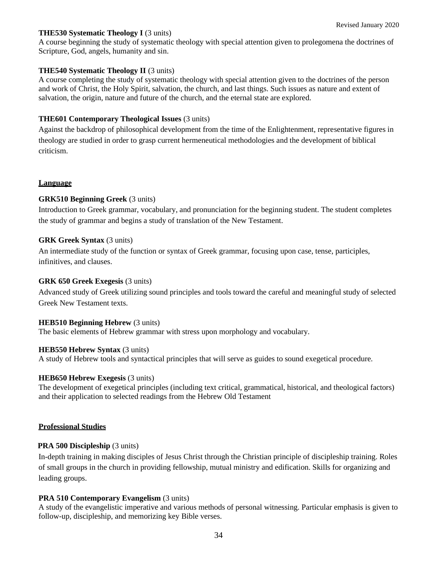#### **THE530 Systematic Theology I** (3 units)

A course beginning the study of systematic theology with special attention given to prolegomena the doctrines of Scripture, God, angels, humanity and sin.

#### **THE540 Systematic Theology II** (3 units)

A course completing the study of systematic theology with special attention given to the doctrines of the person and work of Christ, the Holy Spirit, salvation, the church, and last things. Such issues as nature and extent of salvation, the origin, nature and future of the church, and the eternal state are explored.

#### **THE601 Contemporary Theological Issues** (3 units)

Against the backdrop of philosophical development from the time of the Enlightenment, representative figures in theology are studied in order to grasp current hermeneutical methodologies and the development of biblical criticism.

#### **Language**

#### **GRK510 Beginning Greek** (3 units)

Introduction to Greek grammar, vocabulary, and pronunciation for the beginning student. The student completes the study of grammar and begins a study of translation of the New Testament.

#### **GRK Greek Syntax** (3 units)

An intermediate study of the function or syntax of Greek grammar, focusing upon case, tense, participles, infinitives, and clauses.

#### **GRK 650 Greek Exegesis** (3 units)

Advanced study of Greek utilizing sound principles and tools toward the careful and meaningful study of selected Greek New Testament texts.

#### **HEB510 Beginning Hebrew** (3 units)

The basic elements of Hebrew grammar with stress upon morphology and vocabulary.

#### **HEB550 Hebrew Syntax (3 units)**

A study of Hebrew tools and syntactical principles that will serve as guides to sound exegetical procedure.

#### **HEB650 Hebrew Exegesis (3 units)**

The development of exegetical principles (including text critical, grammatical, historical, and theological factors) and their application to selected readings from the Hebrew Old Testament

#### **Professional Studies**

#### **PRA 500 Discipleship** (3 units)

In-depth training in making disciples of Jesus Christ through the Christian principle of discipleship training. Roles of small groups in the church in providing fellowship, mutual ministry and edification. Skills for organizing and leading groups.

#### **PRA 510 Contemporary Evangelism (3 units)**

A study of the evangelistic imperative and various methods of personal witnessing. Particular emphasis is given to follow-up, discipleship, and memorizing key Bible verses.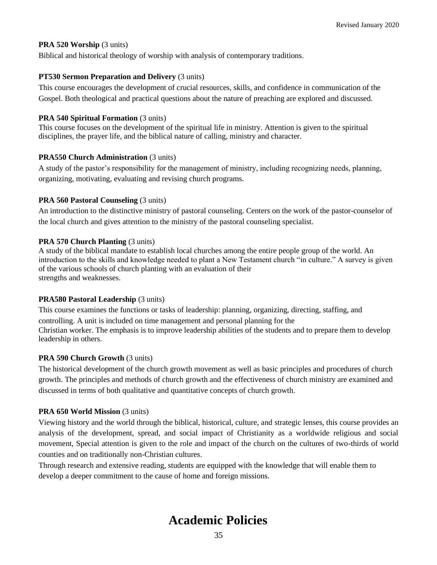#### **PRA 520 Worship (3 units)**

Biblical and historical theology of worship with analysis of contemporary traditions.

#### **PT530 Sermon Preparation and Delivery** (3 units)

This course encourages the development of crucial resources, skills, and confidence in communication of the Gospel. Both theological and practical questions about the nature of preaching are explored and discussed.

#### **PRA 540 Spiritual Formation (3 units)**

This course focuses on the development of the spiritual life in ministry. Attention is given to the spiritual disciplines, the prayer life, and the biblical nature of calling, ministry and character.

#### **PRA550 Church Administration (3 units)**

A study of the pastor's responsibility for the management of ministry, including recognizing needs, planning, organizing, motivating, evaluating and revising church programs.

#### **PRA 560 Pastoral Counseling (3 units)**

An introduction to the distinctive ministry of pastoral counseling. Centers on the work of the pastor-counselor of the local church and gives attention to the ministry of the pastoral counseling specialist.

#### **PRA 570 Church Planting (3 units)**

A study of the biblical mandate to establish local churches among the entire people group of the world. An introduction to the skills and knowledge needed to plant a New Testament church "in culture." A survey is given of the various schools of church planting with an evaluation of their strengths and weaknesses.

#### **PRA580 Pastoral Leadership (3 units)**

This course examines the functions or tasks of leadership: planning, organizing, directing, staffing, and controlling. A unit is included on time management and personal planning for the Christian worker. The emphasis is to improve leadership abilities of the students and to prepare them to develop leadership in others.

#### **PRA 590 Church Growth (3 units)**

The historical development of the church growth movement as well as basic principles and procedures of church growth. The principles and methods of church growth and the effectiveness of church ministry are examined and discussed in terms of both qualitative and quantitative concepts of church growth.

#### **PRA 650 World Mission (3 units)**

Viewing history and the world through the biblical, historical, culture, and strategic lenses, this course provides an analysis of the development, spread, and social impact of Christianity as a worldwide religious and social movement, Special attention is given to the role and impact of the church on the cultures of two-thirds of world counties and on traditionally non-Christian cultures.

<span id="page-34-0"></span>Through research and extensive reading, students are equipped with the knowledge that will enable them to develop a deeper commitment to the cause of home and foreign missions.

### **Academic Policies**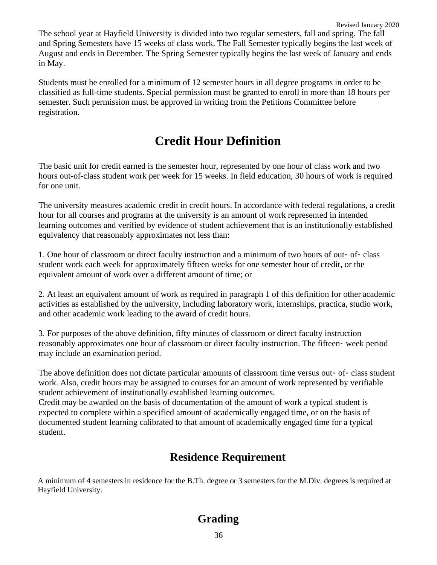The school year at Hayfield University is divided into two regular semesters, fall and spring. The fall and Spring Semesters have 15 weeks of class work. The Fall Semester typically begins the last week of August and ends in December. The Spring Semester typically begins the last week of January and ends in May.

Students must be enrolled for a minimum of 12 semester hours in all degree programs in order to be classified as full-time students. Special permission must be granted to enroll in more than 18 hours per semester. Such permission must be approved in writing from the Petitions Committee before registration.

# **Credit Hour Definition**

<span id="page-35-0"></span>The basic unit for credit earned is the semester hour, represented by one hour of class work and two hours out-of-class student work per week for 15 weeks. In field education, 30 hours of work is required for one unit.

The university measures academic credit in credit hours. In accordance with federal regulations, a credit hour for all courses and programs at the university is an amount of work represented in intended learning outcomes and verified by evidence of student achievement that is an institutionally established equivalency that reasonably approximates not less than:

1. One hour of classroom or direct faculty instruction and a minimum of two hours of out‐ of‐ class student work each week for approximately fifteen weeks for one semester hour of credit, or the equivalent amount of work over a different amount of time; or

2. At least an equivalent amount of work as required in paragraph 1 of this definition for other academic activities as established by the university, including laboratory work, internships, practica, studio work, and other academic work leading to the award of credit hours.

3. For purposes of the above definition, fifty minutes of classroom or direct faculty instruction reasonably approximates one hour of classroom or direct faculty instruction. The fifteen‐ week period may include an examination period.

The above definition does not dictate particular amounts of classroom time versus out- of- class student work. Also, credit hours may be assigned to courses for an amount of work represented by verifiable student achievement of institutionally established learning outcomes.

Credit may be awarded on the basis of documentation of the amount of work a typical student is expected to complete within a specified amount of academically engaged time, or on the basis of documented student learning calibrated to that amount of academically engaged time for a typical student.

### **Residence Requirement**

<span id="page-35-2"></span><span id="page-35-1"></span>A minimum of 4 semesters in residence for the B.Th. degree or 3 semesters for the M.Div. degrees is required at Hayfield University.

### **Grading**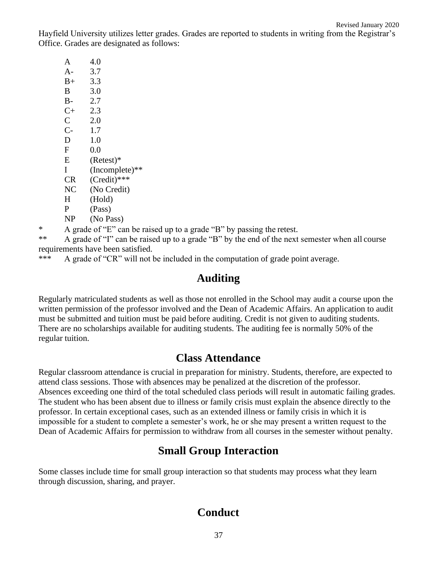Hayfield University utilizes letter grades. Grades are reported to students in writing from the Registrar's Office. Grades are designated as follows:

| A              | 4.0            |
|----------------|----------------|
| A-             | 3.7            |
| $B+$           | 3.3            |
| В              | 3.0            |
| B-             | 2.7            |
| $C+$           | 2.3            |
| $\overline{C}$ | 2.0            |
| $C-$           | 1.7            |
| D              | 1.0            |
| F              | 0.0            |
| E              | $(Retest)*$    |
| L              | (Incomplete)** |
| CR             | $(Credit)$ *** |
| NC             | (No Credit)    |
| H              | (Hold)         |
| P              | (Pass)         |
| NP             | (No Pass)      |
|                |                |

\* A grade of "E" can be raised up to a grade "B" by passing the retest.

\*\* A grade of "I" can be raised up to a grade "B" by the end of the next semester when all course requirements have been satisfied.

<span id="page-36-0"></span>\*\*\* A grade of "CR" will not be included in the computation of grade point average.

### **Auditing**

Regularly matriculated students as well as those not enrolled in the School may audit a course upon the written permission of the professor involved and the Dean of Academic Affairs. An application to audit must be submitted and tuition must be paid before auditing. Credit is not given to auditing students. There are no scholarships available for auditing students. The auditing fee is normally 50% of the regular tuition.

### **Class Attendance**

<span id="page-36-1"></span>Regular classroom attendance is crucial in preparation for ministry. Students, therefore, are expected to attend class sessions. Those with absences may be penalized at the discretion of the professor. Absences exceeding one third of the total scheduled class periods will result in automatic failing grades. The student who has been absent due to illness or family crisis must explain the absence directly to the professor. In certain exceptional cases, such as an extended illness or family crisis in which it is impossible for a student to complete a semester's work, he or she may present a written request to the Dean of Academic Affairs for permission to withdraw from all courses in the semester without penalty.

### **Small Group Interaction**

<span id="page-36-3"></span><span id="page-36-2"></span>Some classes include time for small group interaction so that students may process what they learn through discussion, sharing, and prayer.

### **Conduct**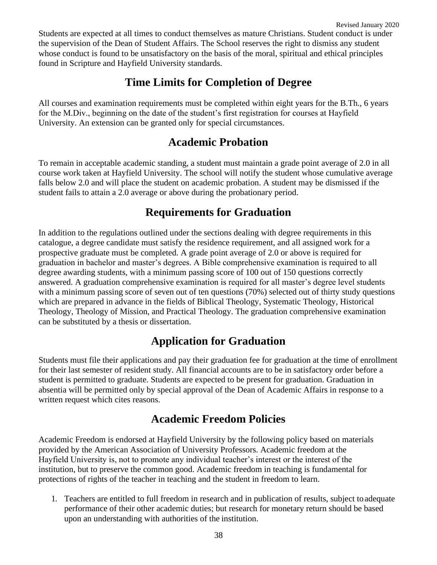Students are expected at all times to conduct themselves as mature Christians. Student conduct is under the supervision of the Dean of Student Affairs. The School reserves the right to dismiss any student whose conduct is found to be unsatisfactory on the basis of the moral, spiritual and ethical principles found in Scripture and Hayfield University standards.

### **Time Limits for Completion of Degree**

<span id="page-37-1"></span><span id="page-37-0"></span>All courses and examination requirements must be completed within eight years for the B.Th., 6 years for the M.Div., beginning on the date of the student's first registration for courses at Hayfield University. An extension can be granted only for special circumstances.

### **Academic Probation**

To remain in acceptable academic standing, a student must maintain a grade point average of 2.0 in all course work taken at Hayfield University. The school will notify the student whose cumulative average falls below 2.0 and will place the student on academic probation. A student may be dismissed if the student fails to attain a 2.0 average or above during the probationary period.

### **Requirements for Graduation**

<span id="page-37-2"></span>In addition to the regulations outlined under the sections dealing with degree requirements in this catalogue, a degree candidate must satisfy the residence requirement, and all assigned work for a prospective graduate must be completed. A grade point average of 2.0 or above is required for graduation in bachelor and master's degrees. A Bible comprehensive examination is required to all degree awarding students, with a minimum passing score of 100 out of 150 questions correctly answered. A graduation comprehensive examination is required for all master's degree level students with a minimum passing score of seven out of ten questions (70%) selected out of thirty study questions which are prepared in advance in the fields of Biblical Theology, Systematic Theology, Historical Theology, Theology of Mission, and Practical Theology. The graduation comprehensive examination can be substituted by a thesis or dissertation.

### **Application for Graduation**

<span id="page-37-3"></span>Students must file their applications and pay their graduation fee for graduation at the time of enrollment for their last semester of resident study. All financial accounts are to be in satisfactory order before a student is permitted to graduate. Students are expected to be present for graduation. Graduation in absentia will be permitted only by special approval of the Dean of Academic Affairs in response to a written request which cites reasons.

### **Academic Freedom Policies**

<span id="page-37-4"></span>Academic Freedom is endorsed at Hayfield University by the following policy based on materials provided by the American Association of University Professors. Academic freedom at the Hayfield University is, not to promote any individual teacher's interest or the interest of the institution, but to preserve the common good. Academic freedom in teaching is fundamental for protections of rights of the teacher in teaching and the student in freedom to learn.

1. Teachers are entitled to full freedom in research and in publication of results, subject toadequate performance of their other academic duties; but research for monetary return should be based upon an understanding with authorities of the institution.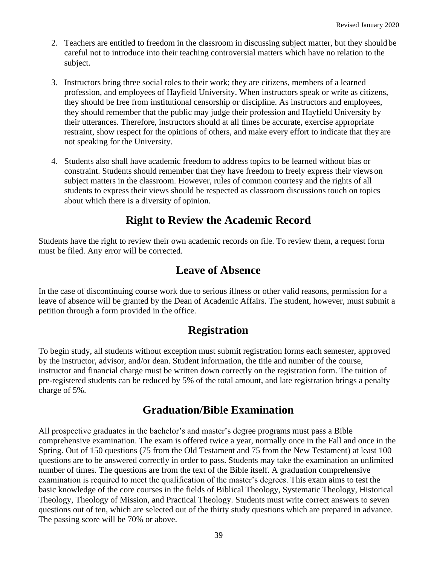- 2. Teachers are entitled to freedom in the classroom in discussing subject matter, but they shouldbe careful not to introduce into their teaching controversial matters which have no relation to the subject.
- 3. Instructors bring three social roles to their work; they are citizens, members of a learned profession, and employees of Hayfield University. When instructors speak or write as citizens, they should be free from institutional censorship or discipline. As instructors and employees, they should remember that the public may judge their profession and Hayfield University by their utterances. Therefore, instructors should at all times be accurate, exercise appropriate restraint, show respect for the opinions of others, and make every effort to indicate that they are not speaking for the University.
- 4. Students also shall have academic freedom to address topics to be learned without bias or constraint. Students should remember that they have freedom to freely express their views on subject matters in the classroom. However, rules of common courtesy and the rights of all students to express their views should be respected as classroom discussions touch on topics about which there is a diversity of opinion.

### **Right to Review the Academic Record**

<span id="page-38-1"></span><span id="page-38-0"></span>Students have the right to review their own academic records on file. To review them, a request form must be filed. Any error will be corrected.

### **Leave of Absence**

<span id="page-38-2"></span>In the case of discontinuing course work due to serious illness or other valid reasons, permission for a leave of absence will be granted by the Dean of Academic Affairs. The student, however, must submit a petition through a form provided in the office.

### **Registration**

To begin study, all students without exception must submit registration forms each semester, approved by the instructor, advisor, and/or dean. Student information, the title and number of the course, instructor and financial charge must be written down correctly on the registration form. The tuition of pre-registered students can be reduced by 5% of the total amount, and late registration brings a penalty charge of 5%.

### **Graduation/Bible Examination**

<span id="page-38-3"></span>All prospective graduates in the bachelor's and master's degree programs must pass a Bible comprehensive examination. The exam is offered twice a year, normally once in the Fall and once in the Spring. Out of 150 questions (75 from the Old Testament and 75 from the New Testament) at least 100 questions are to be answered correctly in order to pass. Students may take the examination an unlimited number of times. The questions are from the text of the Bible itself. A graduation comprehensive examination is required to meet the qualification of the master's degrees. This exam aims to test the basic knowledge of the core courses in the fields of Biblical Theology, Systematic Theology, Historical Theology, Theology of Mission, and Practical Theology. Students must write correct answers to seven questions out of ten, which are selected out of the thirty study questions which are prepared in advance. The passing score will be 70% or above.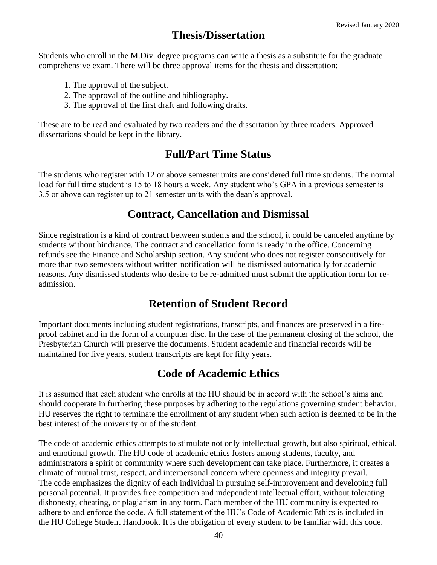### **Thesis/Dissertation**

<span id="page-39-0"></span>Students who enroll in the M.Div. degree programs can write a thesis as a substitute for the graduate comprehensive exam. There will be three approval items for the thesis and dissertation:

- 1. The approval of the subject.
- 2. The approval of the outline and bibliography.
- 3. The approval of the first draft and following drafts.

<span id="page-39-1"></span>These are to be read and evaluated by two readers and the dissertation by three readers. Approved dissertations should be kept in the library.

### **Full/Part Time Status**

<span id="page-39-2"></span>The students who register with 12 or above semester units are considered full time students. The normal load for full time student is 15 to 18 hours a week. Any student who's GPA in a previous semester is 3.5 or above can register up to 21 semester units with the dean's approval.

### **Contract, Cancellation and Dismissal**

Since registration is a kind of contract between students and the school, it could be canceled anytime by students without hindrance. The contract and cancellation form is ready in the office. Concerning refunds see the Finance and Scholarship section. Any student who does not register consecutively for more than two semesters without written notification will be dismissed automatically for academic reasons. Any dismissed students who desire to be re-admitted must submit the application form for readmission.

### **Retention of Student Record**

<span id="page-39-3"></span>Important documents including student registrations, transcripts, and finances are preserved in a fireproof cabinet and in the form of a computer disc. In the case of the permanent closing of the school, the Presbyterian Church will preserve the documents. Student academic and financial records will be maintained for five years, student transcripts are kept for fifty years.

### **Code of Academic Ethics**

<span id="page-39-4"></span>It is assumed that each student who enrolls at the HU should be in accord with the school's aims and should cooperate in furthering these purposes by adhering to the regulations governing student behavior. HU reserves the right to terminate the enrollment of any student when such action is deemed to be in the best interest of the university or of the student.

The code of academic ethics attempts to stimulate not only intellectual growth, but also spiritual, ethical, and emotional growth. The HU code of academic ethics fosters among students, faculty, and administrators a spirit of community where such development can take place. Furthermore, it creates a climate of mutual trust, respect, and interpersonal concern where openness and integrity prevail. The code emphasizes the dignity of each individual in pursuing self-improvement and developing full personal potential. It provides free competition and independent intellectual effort, without tolerating dishonesty, cheating, or plagiarism in any form. Each member of the HU community is expected to adhere to and enforce the code. A full statement of the HU's Code of Academic Ethics is included in the HU College Student Handbook. It is the obligation of every student to be familiar with this code.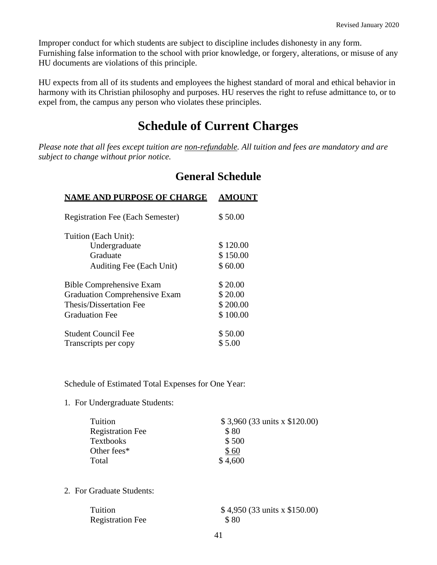Improper conduct for which students are subject to discipline includes dishonesty in any form. Furnishing false information to the school with prior knowledge, or forgery, alterations, or misuse of any HU documents are violations of this principle.

HU expects from all of its students and employees the highest standard of moral and ethical behavior in harmony with its Christian philosophy and purposes. HU reserves the right to refuse admittance to, or to expel from, the campus any person who violates these principles.

## **Schedule of Current Charges**

<span id="page-40-1"></span><span id="page-40-0"></span>*Please note that all fees except tuition are non-refundable. All tuition and fees are mandatory and are subject to change without prior notice.*

### **General Schedule**

| <b>AMOUNT</b> |
|---------------|
| \$50.00       |
|               |
| \$120.00      |
| \$150.00      |
| \$60.00       |
| \$20.00       |
| \$20.00       |
| \$200.00      |
| \$100.00      |
| \$50.00       |
| \$5.00        |
|               |

Schedule of Estimated Total Expenses for One Year:

1. For Undergraduate Students:

| \$3,960 (33 units x \$120.00) |
|-------------------------------|
| \$80                          |
| \$500                         |
| \$60                          |
| \$4,600                       |
|                               |

2. For Graduate Students:

| Tuition                 | $$4,950(33 \text{ units} \times $150.00)$ |
|-------------------------|-------------------------------------------|
| <b>Registration Fee</b> | \$80                                      |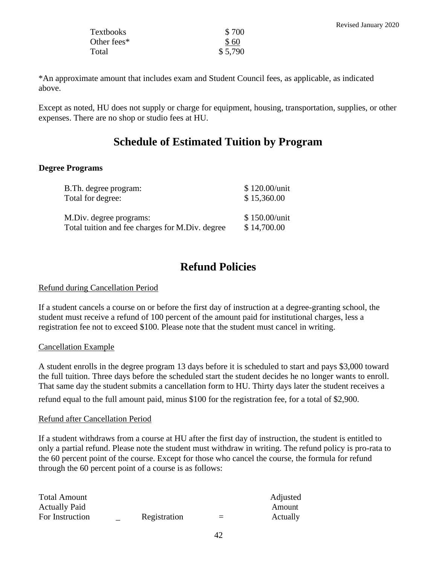| Textbooks   | \$700   |
|-------------|---------|
| Other fees* | \$60    |
| Total       | \$5,790 |

\*An approximate amount that includes exam and Student Council fees, as applicable, as indicated above.

Except as noted, HU does not supply or charge for equipment, housing, transportation, supplies, or other expenses. There are no shop or studio fees at HU.

### **Schedule of Estimated Tuition by Program**

#### **Degree Programs**

| B. Th. degree program:                          | \$120.00/unit   |
|-------------------------------------------------|-----------------|
| Total for degree:                               | \$15,360.00     |
| M.Div. degree programs:                         | $$150.00/$ unit |
| Total tuition and fee charges for M.Div. degree | \$14,700.00     |

### **Refund Policies**

#### <span id="page-41-0"></span>Refund during Cancellation Period

If a student cancels a course on or before the first day of instruction at a degree-granting school, the student must receive a refund of 100 percent of the amount paid for institutional charges, less a registration fee not to exceed \$100. Please note that the student must cancel in writing.

#### Cancellation Example

A student enrolls in the degree program 13 days before it is scheduled to start and pays \$3,000 toward the full tuition. Three days before the scheduled start the student decides he no longer wants to enroll. That same day the student submits a cancellation form to HU. Thirty days later the student receives a refund equal to the full amount paid, minus \$100 for the registration fee, for a total of \$2,900.

#### Refund after Cancellation Period

If a student withdraws from a course at HU after the first day of instruction, the student is entitled to only a partial refund. Please note the student must withdraw in writing. The refund policy is pro-rata to the 60 percent point of the course. Except for those who cancel the course, the formula for refund through the 60 percent point of a course is as follows:

| <b>Total Amount</b>  |              |     | Adjusted |
|----------------------|--------------|-----|----------|
| <b>Actually Paid</b> |              |     | Amount   |
| For Instruction      | Registration | $=$ | Actually |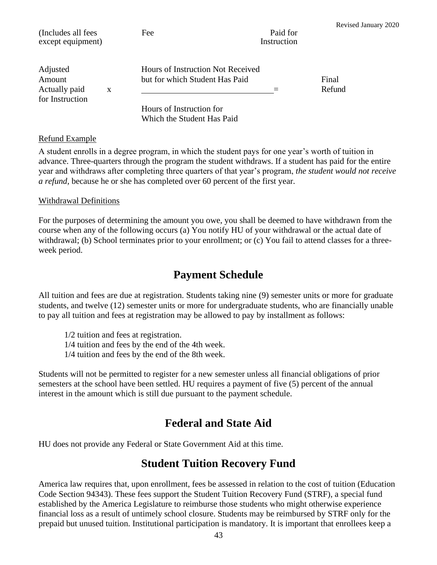| (Includes all fees<br>except equipment) |   | Fee                                                                 | Paid for<br>Instruction | Revised January 2020 |
|-----------------------------------------|---|---------------------------------------------------------------------|-------------------------|----------------------|
| Adjusted<br>Amount<br>Actually paid     | X | Hours of Instruction Not Received<br>but for which Student Has Paid |                         | Final<br>Refund      |
| for Instruction                         |   | Hours of Instruction for<br>Which the Student Has Paid              |                         |                      |

#### Refund Example

A student enrolls in a degree program, in which the student pays for one year's worth of tuition in advance. Three-quarters through the program the student withdraws. If a student has paid for the entire year and withdraws after completing three quarters of that year's program, *the student would not receive a refund,* because he or she has completed over 60 percent of the first year.

#### Withdrawal Definitions

For the purposes of determining the amount you owe, you shall be deemed to have withdrawn from the course when any of the following occurs (a) You notify HU of your withdrawal or the actual date of withdrawal; (b) School terminates prior to your enrollment; or (c) You fail to attend classes for a threeweek period.

### **Payment Schedule**

<span id="page-42-0"></span>All tuition and fees are due at registration. Students taking nine (9) semester units or more for graduate students, and twelve (12) semester units or more for undergraduate students, who are financially unable to pay all tuition and fees at registration may be allowed to pay by installment as follows:

1/2 tuition and fees at registration.

1/4 tuition and fees by the end of the 4th week.

1/4 tuition and fees by the end of the 8th week.

Students will not be permitted to register for a new semester unless all financial obligations of prior semesters at the school have been settled. HU requires a payment of five (5) percent of the annual interest in the amount which is still due pursuant to the payment schedule.

### **Federal and State Aid**

<span id="page-42-2"></span><span id="page-42-1"></span>HU does not provide any Federal or State Government Aid at this time.

### **Student Tuition Recovery Fund**

America law requires that, upon enrollment, fees be assessed in relation to the cost of tuition (Education Code Section 94343). These fees support the Student Tuition Recovery Fund (STRF), a special fund established by the America Legislature to reimburse those students who might otherwise experience financial loss as a result of untimely school closure. Students may be reimbursed by STRF only for the prepaid but unused tuition. Institutional participation is mandatory. It is important that enrollees keep a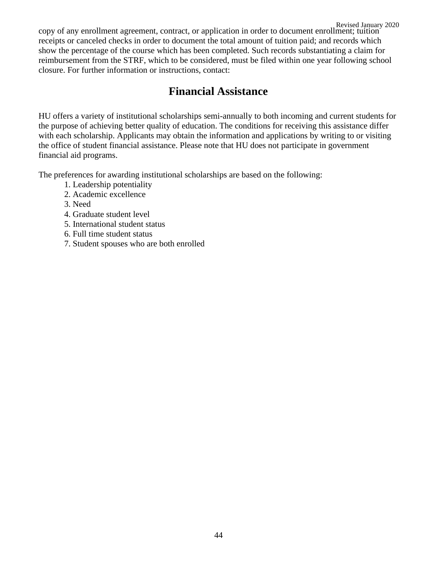Revised January 2020 copy of any enrollment agreement, contract, or application in order to document enrollment; tuition receipts or canceled checks in order to document the total amount of tuition paid; and records which show the percentage of the course which has been completed. Such records substantiating a claim for reimbursement from the STRF, which to be considered, must be filed within one year following school closure. For further information or instructions, contact:

### **Financial Assistance**

<span id="page-43-0"></span>HU offers a variety of institutional scholarships semi-annually to both incoming and current students for the purpose of achieving better quality of education. The conditions for receiving this assistance differ with each scholarship. Applicants may obtain the information and applications by writing to or visiting the office of student financial assistance. Please note that HU does not participate in government financial aid programs.

The preferences for awarding institutional scholarships are based on the following:

- 1. Leadership potentiality
- 2. Academic excellence
- 3. Need
- 4. Graduate student level
- 5. International student status
- 6. Full time student status
- 7. Student spouses who are both enrolled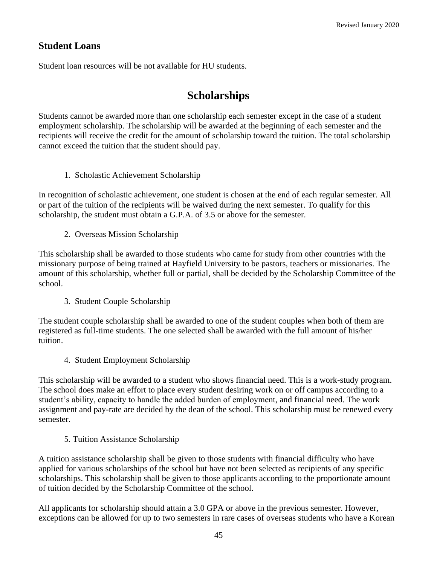### **Student Loans**

<span id="page-44-0"></span>Student loan resources will be not available for HU students.

### **Scholarships**

Students cannot be awarded more than one scholarship each semester except in the case of a student employment scholarship. The scholarship will be awarded at the beginning of each semester and the recipients will receive the credit for the amount of scholarship toward the tuition. The total scholarship cannot exceed the tuition that the student should pay.

1. Scholastic Achievement Scholarship

In recognition of scholastic achievement, one student is chosen at the end of each regular semester. All or part of the tuition of the recipients will be waived during the next semester. To qualify for this scholarship, the student must obtain a G.P.A. of 3.5 or above for the semester.

2. Overseas Mission Scholarship

This scholarship shall be awarded to those students who came for study from other countries with the missionary purpose of being trained at Hayfield University to be pastors, teachers or missionaries. The amount of this scholarship, whether full or partial, shall be decided by the Scholarship Committee of the school.

3. Student Couple Scholarship

The student couple scholarship shall be awarded to one of the student couples when both of them are registered as full-time students. The one selected shall be awarded with the full amount of his/her tuition.

4. Student Employment Scholarship

This scholarship will be awarded to a student who shows financial need. This is a work-study program. The school does make an effort to place every student desiring work on or off campus according to a student's ability, capacity to handle the added burden of employment, and financial need. The work assignment and pay-rate are decided by the dean of the school. This scholarship must be renewed every semester.

#### 5. Tuition Assistance Scholarship

A tuition assistance scholarship shall be given to those students with financial difficulty who have applied for various scholarships of the school but have not been selected as recipients of any specific scholarships. This scholarship shall be given to those applicants according to the proportionate amount of tuition decided by the Scholarship Committee of the school.

All applicants for scholarship should attain a 3.0 GPA or above in the previous semester. However, exceptions can be allowed for up to two semesters in rare cases of overseas students who have a Korean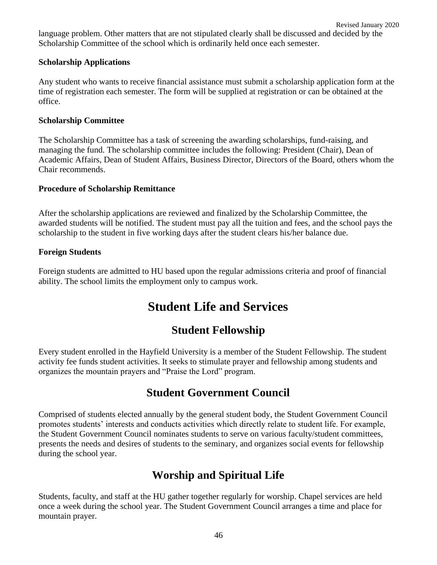language problem. Other matters that are not stipulated clearly shall be discussed and decided by the Scholarship Committee of the school which is ordinarily held once each semester.

#### **Scholarship Applications**

Any student who wants to receive financial assistance must submit a scholarship application form at the time of registration each semester. The form will be supplied at registration or can be obtained at the office.

#### **Scholarship Committee**

The Scholarship Committee has a task of screening the awarding scholarships, fund-raising, and managing the fund. The scholarship committee includes the following: President (Chair), Dean of Academic Affairs, Dean of Student Affairs, Business Director, Directors of the Board, others whom the Chair recommends.

#### **Procedure of Scholarship Remittance**

After the scholarship applications are reviewed and finalized by the Scholarship Committee, the awarded students will be notified. The student must pay all the tuition and fees, and the school pays the scholarship to the student in five working days after the student clears his/her balance due.

#### **Foreign Students**

<span id="page-45-0"></span>Foreign students are admitted to HU based upon the regular admissions criteria and proof of financial ability. The school limits the employment only to campus work.

### **Student Life and Services**

### **Student Fellowship**

<span id="page-45-1"></span>Every student enrolled in the Hayfield University is a member of the Student Fellowship. The student activity fee funds student activities. It seeks to stimulate prayer and fellowship among students and organizes the mountain prayers and "Praise the Lord" program.

### **Student Government Council**

<span id="page-45-2"></span>Comprised of students elected annually by the general student body, the Student Government Council promotes students' interests and conducts activities which directly relate to student life. For example, the Student Government Council nominates students to serve on various faculty/student committees, presents the needs and desires of students to the seminary, and organizes social events for fellowship during the school year.

### **Worship and Spiritual Life**

<span id="page-45-3"></span>Students, faculty, and staff at the HU gather together regularly for worship. Chapel services are held once a week during the school year. The Student Government Council arranges a time and place for mountain prayer.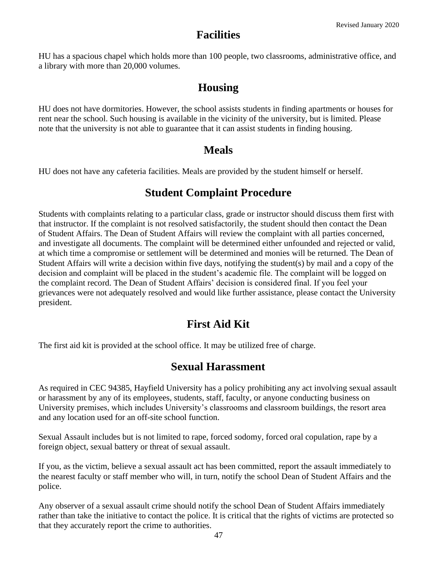### **Facilities**

<span id="page-46-1"></span><span id="page-46-0"></span>HU has a spacious chapel which holds more than 100 people, two classrooms, administrative office, and a library with more than 20,000 volumes.

### **Housing**

HU does not have dormitories. However, the school assists students in finding apartments or houses for rent near the school. Such housing is available in the vicinity of the university, but is limited. Please note that the university is not able to guarantee that it can assist students in finding housing.

### **Meals**

<span id="page-46-3"></span><span id="page-46-2"></span>HU does not have any cafeteria facilities. Meals are provided by the student himself or herself.

### **Student Complaint Procedure**

Students with complaints relating to a particular class, grade or instructor should discuss them first with that instructor. If the complaint is not resolved satisfactorily, the student should then contact the Dean of Student Affairs. The Dean of Student Affairs will review the complaint with all parties concerned, and investigate all documents. The complaint will be determined either unfounded and rejected or valid, at which time a compromise or settlement will be determined and monies will be returned. The Dean of Student Affairs will write a decision within five days, notifying the student(s) by mail and a copy of the decision and complaint will be placed in the student's academic file. The complaint will be logged on the complaint record. The Dean of Student Affairs' decision is considered final. If you feel your grievances were not adequately resolved and would like further assistance, please contact the University president.

### **First Aid Kit**

<span id="page-46-5"></span><span id="page-46-4"></span>The first aid kit is provided at the school office. It may be utilized free of charge.

### **Sexual Harassment**

As required in CEC 94385, Hayfield University has a policy prohibiting any act involving sexual assault or harassment by any of its employees, students, staff, faculty, or anyone conducting business on University premises, which includes University's classrooms and classroom buildings, the resort area and any location used for an off-site school function.

Sexual Assault includes but is not limited to rape, forced sodomy, forced oral copulation, rape by a foreign object, sexual battery or threat of sexual assault.

If you, as the victim, believe a sexual assault act has been committed, report the assault immediately to the nearest faculty or staff member who will, in turn, notify the school Dean of Student Affairs and the police.

Any observer of a sexual assault crime should notify the school Dean of Student Affairs immediately rather than take the initiative to contact the police. It is critical that the rights of victims are protected so that they accurately report the crime to authorities.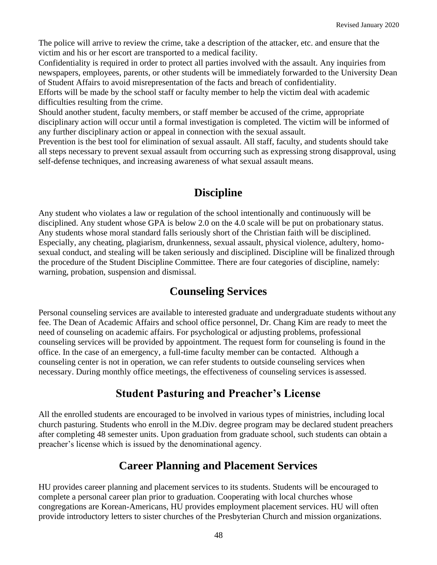The police will arrive to review the crime, take a description of the attacker, etc. and ensure that the victim and his or her escort are transported to a medical facility.

Confidentiality is required in order to protect all parties involved with the assault. Any inquiries from newspapers, employees, parents, or other students will be immediately forwarded to the University Dean of Student Affairs to avoid misrepresentation of the facts and breach of confidentiality.

Efforts will be made by the school staff or faculty member to help the victim deal with academic difficulties resulting from the crime.

Should another student, faculty members, or staff member be accused of the crime, appropriate disciplinary action will occur until a formal investigation is completed. The victim will be informed of any further disciplinary action or appeal in connection with the sexual assault.

Prevention is the best tool for elimination of sexual assault. All staff, faculty, and students should take all steps necessary to prevent sexual assault from occurring such as expressing strong disapproval, using self-defense techniques, and increasing awareness of what sexual assault means.

### **Discipline**

<span id="page-47-0"></span>Any student who violates a law or regulation of the school intentionally and continuously will be disciplined. Any student whose GPA is below 2.0 on the 4.0 scale will be put on probationary status. Any students whose moral standard falls seriously short of the Christian faith will be disciplined. Especially, any cheating, plagiarism, drunkenness, sexual assault, physical violence, adultery, homosexual conduct, and stealing will be taken seriously and disciplined. Discipline will be finalized through the procedure of the Student Discipline Committee. There are four categories of discipline, namely: warning, probation, suspension and dismissal.

### **Counseling Services**

<span id="page-47-1"></span>Personal counseling services are available to interested graduate and undergraduate students without any fee. The Dean of Academic Affairs and school office personnel, Dr. Chang Kim are ready to meet the need of counseling on academic affairs. For psychological or adjusting problems, professional counseling services will be provided by appointment. The request form for counseling is found in the office. In the case of an emergency, a full-time faculty member can be contacted. Although a counseling center is not in operation, we can refer students to outside counseling services when necessary. During monthly office meetings, the effectiveness of counseling services is assessed.

### **Student Pasturing and Preacher's License**

<span id="page-47-2"></span>All the enrolled students are encouraged to be involved in various types of ministries, including local church pasturing. Students who enroll in the M.Div. degree program may be declared student preachers after completing 48 semester units. Upon graduation from graduate school, such students can obtain a preacher's license which is issued by the denominational agency.

### **Career Planning and Placement Services**

<span id="page-47-3"></span>HU provides career planning and placement services to its students. Students will be encouraged to complete a personal career plan prior to graduation. Cooperating with local churches whose congregations are Korean-Americans, HU provides employment placement services. HU will often provide introductory letters to sister churches of the Presbyterian Church and mission organizations.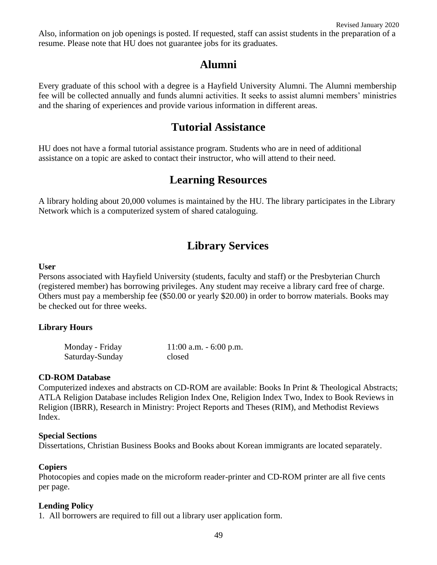Also, information on job openings is posted. If requested, staff can assist students in the preparation of a resume. Please note that HU does not guarantee jobs for its graduates.

### **Alumni**

<span id="page-48-0"></span>Every graduate of this school with a degree is a Hayfield University Alumni. The Alumni membership fee will be collected annually and funds alumni activities. It seeks to assist alumni members' ministries and the sharing of experiences and provide various information in different areas.

### **Tutorial Assistance**

<span id="page-48-1"></span>HU does not have a formal tutorial assistance program. Students who are in need of additional assistance on a topic are asked to contact their instructor, who will attend to their need.

### **Learning Resources**

<span id="page-48-2"></span>A library holding about 20,000 volumes is maintained by the HU. The library participates in the Library Network which is a computerized system of shared cataloguing.

### **Library Services**

#### <span id="page-48-3"></span>**User**

Persons associated with Hayfield University (students, faculty and staff) or the Presbyterian Church (registered member) has borrowing privileges. Any student may receive a library card free of charge. Others must pay a membership fee (\$50.00 or yearly \$20.00) in order to borrow materials. Books may be checked out for three weeks.

#### **Library Hours**

| Monday - Friday | $11:00$ a.m. $-6:00$ p.m. |
|-----------------|---------------------------|
| Saturday-Sunday | closed                    |

#### **CD-ROM Database**

Computerized indexes and abstracts on CD-ROM are available: Books In Print & Theological Abstracts; ATLA Religion Database includes Religion Index One, Religion Index Two, Index to Book Reviews in Religion (IBRR), Research in Ministry: Project Reports and Theses (RIM), and Methodist Reviews Index.

#### **Special Sections**

Dissertations, Christian Business Books and Books about Korean immigrants are located separately.

#### **Copiers**

Photocopies and copies made on the microform reader-printer and CD-ROM printer are all five cents per page.

#### **Lending Policy**

1. All borrowers are required to fill out a library user application form.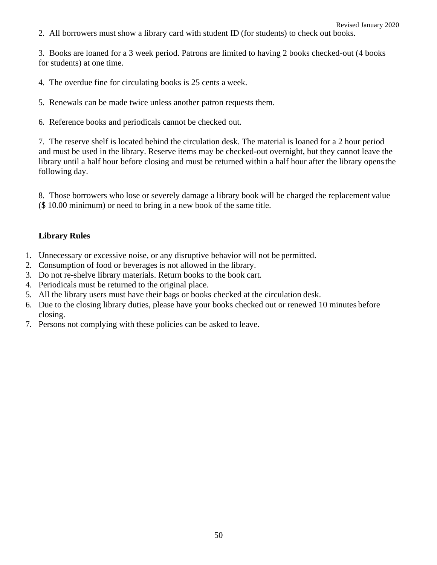2. All borrowers must show a library card with student ID (for students) to check out books.

3. Books are loaned for a 3 week period. Patrons are limited to having 2 books checked-out (4 books for students) at one time.

- 4. The overdue fine for circulating books is 25 cents a week.
- 5. Renewals can be made twice unless another patron requests them.
- 6. Reference books and periodicals cannot be checked out.

7. The reserve shelf is located behind the circulation desk. The material is loaned for a 2 hour period and must be used in the library. Reserve items may be checked-out overnight, but they cannot leave the library until a half hour before closing and must be returned within a half hour after the library opensthe following day.

8. Those borrowers who lose or severely damage a library book will be charged the replacement value (\$ 10.00 minimum) or need to bring in a new book of the same title.

#### **Library Rules**

- 1. Unnecessary or excessive noise, or any disruptive behavior will not be permitted.
- 2. Consumption of food or beverages is not allowed in the library.
- 3. Do not re-shelve library materials. Return books to the book cart.
- 4. Periodicals must be returned to the original place.
- 5. All the library users must have their bags or books checked at the circulation desk.
- 6. Due to the closing library duties, please have your books checked out or renewed 10 minutes before closing.
- 7. Persons not complying with these policies can be asked to leave.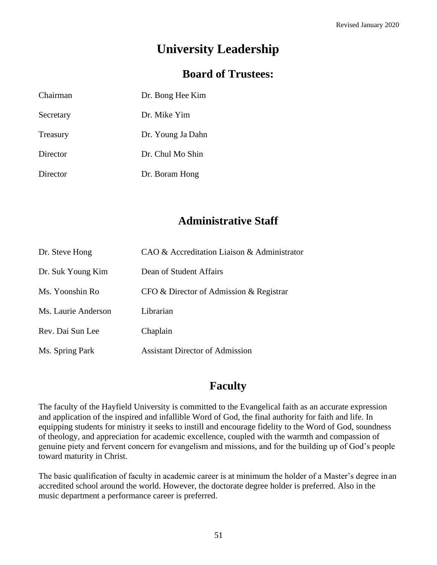# **University Leadership**

### **Board of Trustees:**

<span id="page-50-1"></span><span id="page-50-0"></span>

| Chairman  | Dr. Bong Hee Kim  |
|-----------|-------------------|
| Secretary | Dr. Mike Yim      |
| Treasury  | Dr. Young Ja Dahn |
| Director  | Dr. Chul Mo Shin  |
| Director  | Dr. Boram Hong    |

### **Administrative Staff**

<span id="page-50-2"></span>

| Dr. Steve Hong      | CAO & Accreditation Liaison & Administrator |
|---------------------|---------------------------------------------|
| Dr. Suk Young Kim   | Dean of Student Affairs                     |
| Ms. Yoonshin Ro     | $CFO & Director$ of Admission & Registrar   |
| Ms. Laurie Anderson | Librarian                                   |
| Rev. Dai Sun Lee    | Chaplain                                    |
| Ms. Spring Park     | <b>Assistant Director of Admission</b>      |

### **Faculty**

<span id="page-50-3"></span>The faculty of the Hayfield University is committed to the Evangelical faith as an accurate expression and application of the inspired and infallible Word of God, the final authority for faith and life. In equipping students for ministry it seeks to instill and encourage fidelity to the Word of God, soundness of theology, and appreciation for academic excellence, coupled with the warmth and compassion of genuine piety and fervent concern for evangelism and missions, and for the building up of God's people toward maturity in Christ.

The basic qualification of faculty in academic career is at minimum the holder of a Master's degree inan accredited school around the world. However, the doctorate degree holder is preferred. Also in the music department a performance career is preferred.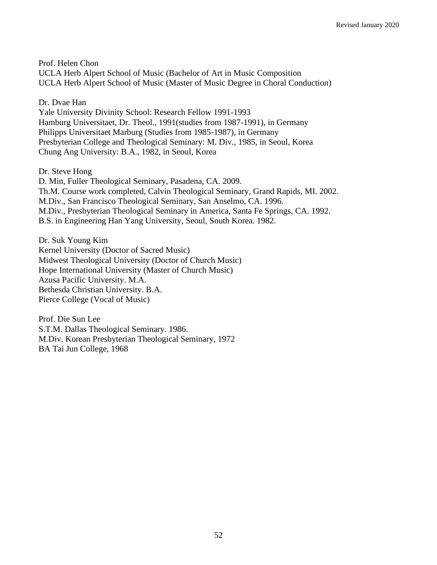Prof. Helen Chon UCLA Herb Alpert School of Music (Bachelor of Art in Music Composition UCLA Herb Alpert School of Music (Master of Music Degree in Choral Conduction)

Dr. Dvae Han

Yale University Divinity School: Research Fellow 1991-1993 Hamburg Universitaet, Dr. Theol., 1991(studies from 1987-1991), in Germany Philipps Universitaet Marburg (Studies from 1985-1987), in Germany Presbyterian College and Theological Seminary: M. Div., 1985, in Seoul, Korea Chung Ang University: B.A., 1982, in Seoul, Korea

Dr. Steve Hong

D. Min, Fuller Theological Seminary, Pasadena, CA. 2009. Th.M. Course work completed, Calvin Theological Seminary, Grand Rapids, MI. 2002. M.Div., San Francisco Theological Seminary, San Anselmo, CA. 1996. M.Div., Presbyterian Theological Seminary in America, Santa Fe Springs, CA. 1992. B.S. in Engineering Han Yang University, Seoul, South Korea. 1982.

Dr. Suk Young Kim Kernel University (Doctor of Sacred Music) Midwest Theological University (Doctor of Church Music) Hope International University (Master of Church Music) Azusa Pacific University. M.A. Bethesda Christian University. B.A. Pierce College (Vocal of Music)

Prof. Die Sun Lee S.T.M. Dallas Theological Seminary. 1986. M.Div. Korean Presbyterian Theological Seminary, 1972 BA Tai Jun College, 1968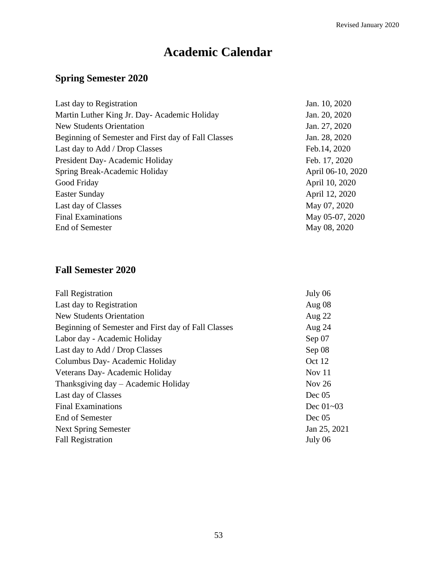# **Academic Calendar**

### <span id="page-52-0"></span>**Spring Semester 2020**

| Last day to Registration                            | Jan. 10, 2020     |
|-----------------------------------------------------|-------------------|
| Martin Luther King Jr. Day- Academic Holiday        | Jan. 20, 2020     |
| <b>New Students Orientation</b>                     | Jan. 27, 2020     |
| Beginning of Semester and First day of Fall Classes | Jan. 28, 2020     |
| Last day to Add / Drop Classes                      | Feb. 14, 2020     |
| President Day-Academic Holiday                      | Feb. 17, 2020     |
| Spring Break-Academic Holiday                       | April 06-10, 2020 |
| Good Friday                                         | April 10, 2020    |
| <b>Easter Sunday</b>                                | April 12, 2020    |
| Last day of Classes                                 | May 07, 2020      |
| <b>Final Examinations</b>                           | May 05-07, 2020   |
| End of Semester                                     | May 08, 2020      |
|                                                     |                   |

### **Fall Semester 2020**

| <b>Fall Registration</b>                            | July 06       |
|-----------------------------------------------------|---------------|
| Last day to Registration                            | Aug $08$      |
| <b>New Students Orientation</b>                     | Aug $22$      |
| Beginning of Semester and First day of Fall Classes | Aug 24        |
| Labor day - Academic Holiday                        | Sep 07        |
| Last day to Add / Drop Classes                      | Sep 08        |
| Columbus Day-Academic Holiday                       | Oct 12        |
| Veterans Day-Academic Holiday                       | Nov $11$      |
| Thanksgiving day – Academic Holiday                 | Nov $26$      |
| Last day of Classes                                 | Dec 05        |
| <b>Final Examinations</b>                           | Dec $01 - 03$ |
| End of Semester                                     | Dec 05        |
| <b>Next Spring Semester</b>                         | Jan 25, 2021  |
| <b>Fall Registration</b>                            | July 06       |
|                                                     |               |